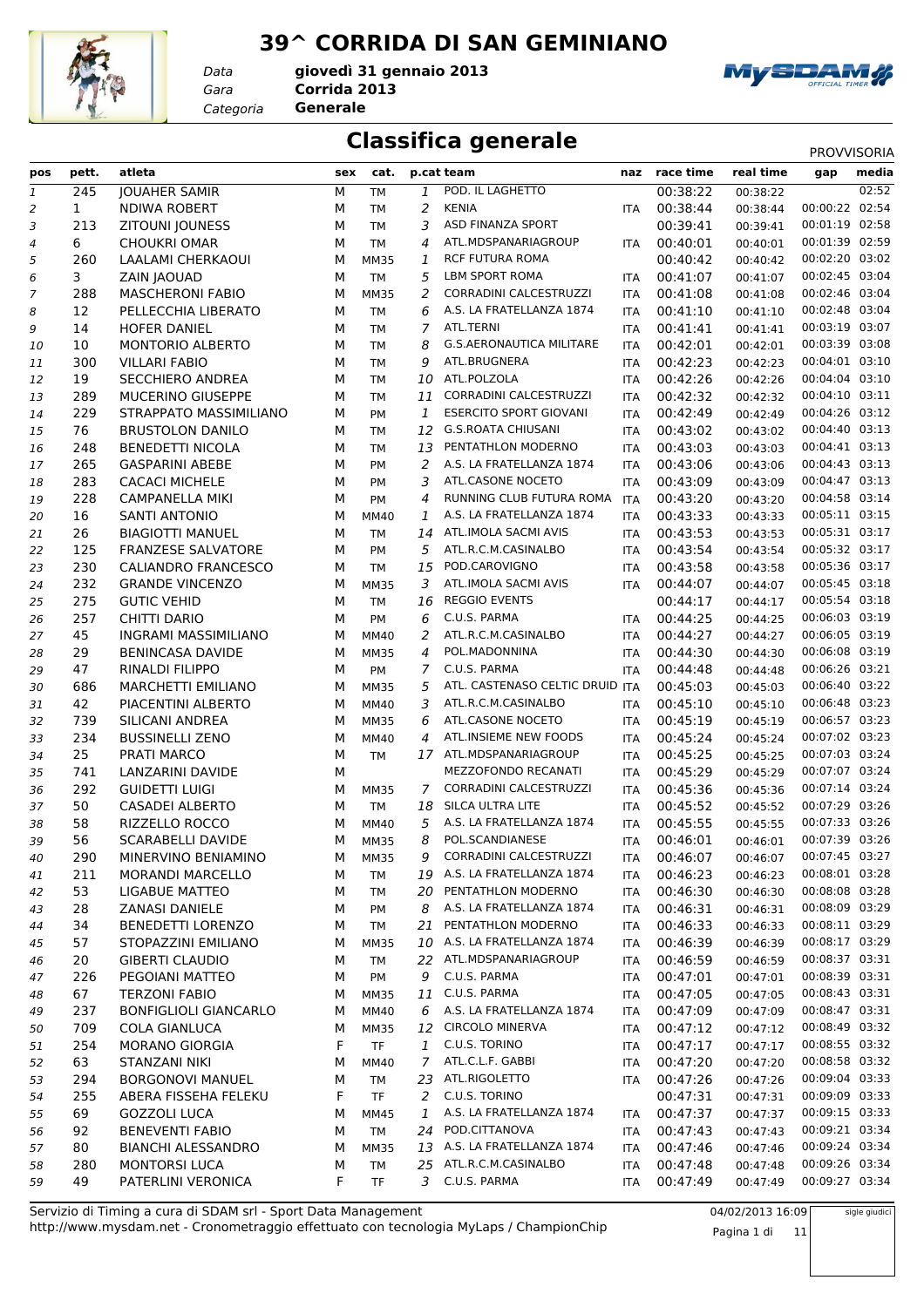#### **39^ CORRIDA DI SAN GEMINIANO**



*Data*

*Gara* **Corrida 2013** *Categoria* **Generale giovedì 31 gennaio 2013**



#### **Classifica generale** PROVVISORIA

| pos          | pett.        | atleta                       | sex | cat.        |                | p.cat team                      | naz        | race time    | real time | gap            | media |
|--------------|--------------|------------------------------|-----|-------------|----------------|---------------------------------|------------|--------------|-----------|----------------|-------|
| $\mathbf{1}$ | 245          | <b>JOUAHER SAMIR</b>         | м   | <b>TM</b>   | 1              | POD. IL LAGHETTO                |            | 00:38:22     | 00:38:22  |                | 02:52 |
| 2            | $\mathbf{1}$ | <b>NDIWA ROBERT</b>          | M   | <b>TM</b>   | 2              | <b>KENIA</b>                    | <b>ITA</b> | 00:38:44     | 00:38:44  | 00:00:22 02:54 |       |
| 3            | 213          | <b>ZITOUNI JOUNESS</b>       | M   | <b>TM</b>   | 3              | <b>ASD FINANZA SPORT</b>        |            | 00:39:41     | 00:39:41  | 00:01:19 02:58 |       |
| 4            | 6            | <b>CHOUKRI OMAR</b>          | M   | <b>TM</b>   | 4              | ATL.MDSPANARIAGROUP             | <b>ITA</b> | 00:40:01     | 00:40:01  | 00:01:39 02:59 |       |
| 5            | 260          | <b>LAALAMI CHERKAOUI</b>     | M   | <b>MM35</b> | 1              | <b>RCF FUTURA ROMA</b>          |            | 00:40:42     | 00:40:42  | 00:02:20 03:02 |       |
| 6            | 3            | ZAIN JAOUAD                  | M   | <b>TM</b>   | 5              | <b>LBM SPORT ROMA</b>           | <b>ITA</b> | 00:41:07     | 00:41:07  | 00:02:45 03:04 |       |
| 7            | 288          | <b>MASCHERONI FABIO</b>      | M   | <b>MM35</b> | 2              | CORRADINI CALCESTRUZZI          | <b>ITA</b> | 00:41:08     | 00:41:08  | 00:02:46 03:04 |       |
| 8            | 12           | PELLECCHIA LIBERATO          | М   | <b>TM</b>   | 6              | A.S. LA FRATELLANZA 1874        | <b>ITA</b> | 00:41:10     | 00:41:10  | 00:02:48 03:04 |       |
| 9            | 14           | <b>HOFER DANIEL</b>          | М   | <b>TM</b>   | $\overline{7}$ | ATL.TERNI                       | <b>ITA</b> | 00:41:41     | 00:41:41  | 00:03:19 03:07 |       |
| 10           | 10           | <b>MONTORIO ALBERTO</b>      | М   | <b>TM</b>   | 8              | <b>G.S.AERONAUTICA MILITARE</b> | <b>ITA</b> | 00:42:01     | 00:42:01  | 00:03:39 03:08 |       |
| 11           | 300          | <b>VILLARI FABIO</b>         | M   | <b>TM</b>   | 9              | ATL.BRUGNERA                    | <b>ITA</b> | 00:42:23     | 00:42:23  | 00:04:01 03:10 |       |
| 12           | 19           | <b>SECCHIERO ANDREA</b>      | М   | TM          | 10             | ATL.POLZOLA                     | <b>ITA</b> | 00:42:26     | 00:42:26  | 00:04:04 03:10 |       |
| 13           | 289          | MUCERINO GIUSEPPE            | M   | <b>TM</b>   | 11             | CORRADINI CALCESTRUZZI          | <b>ITA</b> | 00:42:32     | 00:42:32  | 00:04:10 03:11 |       |
| 14           | 229          | STRAPPATO MASSIMILIANO       | M   | PM          | 1              | <b>ESERCITO SPORT GIOVANI</b>   | <b>ITA</b> | 00:42:49     | 00:42:49  | 00:04:26 03:12 |       |
| 15           | 76           | <b>BRUSTOLON DANILO</b>      | М   | <b>TM</b>   | 12             | <b>G.S.ROATA CHIUSANI</b>       | <b>ITA</b> | 00:43:02     | 00:43:02  | 00:04:40 03:13 |       |
| 16           | 248          | <b>BENEDETTI NICOLA</b>      | М   | <b>TM</b>   | 13             | PENTATHLON MODERNO              | <b>ITA</b> | 00:43:03     | 00:43:03  | 00:04:41 03:13 |       |
| 17           | 265          | <b>GASPARINI ABEBE</b>       | M   | PM          | 2              | A.S. LA FRATELLANZA 1874        | <b>ITA</b> | 00:43:06     | 00:43:06  | 00:04:43 03:13 |       |
| 18           | 283          | <b>CACACI MICHELE</b>        | M   | PM          | 3              | ATL.CASONE NOCETO               | <b>ITA</b> | 00:43:09     | 00:43:09  | 00:04:47 03:13 |       |
| 19           | 228          | <b>CAMPANELLA MIKI</b>       | М   | PM          | 4              | RUNNING CLUB FUTURA ROMA        | <b>ITA</b> | 00:43:20     | 00:43:20  | 00:04:58 03:14 |       |
| 20           | 16           | <b>SANTI ANTONIO</b>         | M   | MM40        | 1              | A.S. LA FRATELLANZA 1874        | <b>ITA</b> | 00:43:33     | 00:43:33  | 00:05:11 03:15 |       |
| 21           | 26           | <b>BIAGIOTTI MANUEL</b>      | М   | <b>TM</b>   | 14             | ATL.IMOLA SACMI AVIS            | <b>ITA</b> | 00:43:53     | 00:43:53  | 00:05:31 03:17 |       |
| 22           | 125          | <b>FRANZESE SALVATORE</b>    | М   | PM          | 5              | ATL.R.C.M.CASINALBO             | <b>ITA</b> | 00:43:54     | 00:43:54  | 00:05:32 03:17 |       |
| 23           | 230          | <b>CALIANDRO FRANCESCO</b>   | M   | <b>TM</b>   | 15             | POD.CAROVIGNO                   | <b>ITA</b> | 00:43:58     | 00:43:58  | 00:05:36 03:17 |       |
| 24           | 232          | <b>GRANDE VINCENZO</b>       | M   | <b>MM35</b> | 3              | ATL.IMOLA SACMI AVIS            | <b>ITA</b> | 00:44:07     | 00:44:07  | 00:05:45 03:18 |       |
| 25           | 275          | <b>GUTIC VEHID</b>           | M   | <b>TM</b>   | 16             | <b>REGGIO EVENTS</b>            |            | 00:44:17     | 00:44:17  | 00:05:54 03:18 |       |
| 26           | 257          | CHITTI DARIO                 | M   | PM          | 6              | C.U.S. PARMA                    | <b>ITA</b> | 00:44:25     | 00:44:25  | 00:06:03 03:19 |       |
| 27           | 45           | <b>INGRAMI MASSIMILIANO</b>  | M   | <b>MM40</b> | 2              | ATL.R.C.M.CASINALBO             | <b>ITA</b> | 00:44:27     | 00:44:27  | 00:06:05 03:19 |       |
| 28           | 29           | <b>BENINCASA DAVIDE</b>      | M   | <b>MM35</b> | 4              | POL.MADONNINA                   | <b>ITA</b> | 00:44:30     | 00:44:30  | 00:06:08 03:19 |       |
| 29           | 47           | RINALDI FILIPPO              | M   | PM          | 7              | C.U.S. PARMA                    | <b>ITA</b> | 00:44:48     | 00:44:48  | 00:06:26 03:21 |       |
| 30           | 686          | <b>MARCHETTI EMILIANO</b>    | M   | <b>MM35</b> | 5              | ATL. CASTENASO CELTIC DRUID ITA |            | 00:45:03     | 00:45:03  | 00:06:40 03:22 |       |
| 31           | 42           | PIACENTINI ALBERTO           | M   | <b>MM40</b> | 3              | ATL.R.C.M.CASINALBO             | <b>ITA</b> | 00:45:10     | 00:45:10  | 00:06:48 03:23 |       |
| 32           | 739          | SILICANI ANDREA              | M   | <b>MM35</b> | 6              | ATL.CASONE NOCETO               | <b>ITA</b> | 00:45:19     | 00:45:19  | 00:06:57 03:23 |       |
| 33           | 234          | <b>BUSSINELLI ZENO</b>       | М   | MM40        | 4              | ATL.INSIEME NEW FOODS           | <b>ITA</b> | 00:45:24     | 00:45:24  | 00:07:02 03:23 |       |
| 34           | 25           | <b>PRATI MARCO</b>           | M   | <b>TM</b>   |                | 17 ATL.MDSPANARIAGROUP          | <b>ITA</b> | 00:45:25     | 00:45:25  | 00:07:03 03:24 |       |
| 35           | 741          | LANZARINI DAVIDE             | M   |             |                | MEZZOFONDO RECANATI             | <b>ITA</b> | 00:45:29     | 00:45:29  | 00:07:07 03:24 |       |
| 36           | 292          | <b>GUIDETTI LUIGI</b>        | М   | <b>MM35</b> | 7              | CORRADINI CALCESTRUZZI          | <b>ITA</b> | 00:45:36     | 00:45:36  | 00:07:14 03:24 |       |
| 37           | 50           | <b>CASADEI ALBERTO</b>       | M   | <b>TM</b>   | 18             | SILCA ULTRA LITE                | <b>ITA</b> | 00:45:52     | 00:45:52  | 00:07:29 03:26 |       |
| 38           | 58           | RIZZELLO ROCCO               | M   | <b>MM40</b> | 5              | A.S. LA FRATELLANZA 1874        | <b>ITA</b> | 00:45:55     | 00:45:55  | 00:07:33 03:26 |       |
| 39           | 56           | <b>SCARABELLI DAVIDE</b>     | M   | <b>MM35</b> | 8              | POL.SCANDIANESE                 | <b>ITA</b> | 00:46:01     | 00:46:01  | 00:07:39 03:26 |       |
| 40           | 290          | MINERVINO BENIAMINO          | M   | <b>MM35</b> |                | 9 CORRADINI CALCESTRUZZI        |            | ITA 00:46:07 | 00:46:07  | 00:07:45 03:27 |       |
| 41           | 211          | <b>MORANDI MARCELLO</b>      | м   | TM          |                | 19 A.S. LA FRATELLANZA 1874     | <b>ITA</b> | 00:46:23     | 00:46:23  | 00:08:01 03:28 |       |
| 42           | 53           | LIGABUE MATTEO               | М   | TM          |                | 20 PENTATHLON MODERNO           | ITA        | 00:46:30     | 00:46:30  | 00:08:08 03:28 |       |
| 43           | 28           | <b>ZANASI DANIELE</b>        | М   | PM          | 8              | A.S. LA FRATELLANZA 1874        | ITA        | 00:46:31     | 00:46:31  | 00:08:09 03:29 |       |
| 44           | 34           | BENEDETTI LORENZO            | М   | <b>TM</b>   | 21             | PENTATHLON MODERNO              | <b>ITA</b> | 00:46:33     | 00:46:33  | 00:08:11 03:29 |       |
| 45           | 57           | STOPAZZINI EMILIANO          | м   | <b>MM35</b> |                | 10 A.S. LA FRATELLANZA 1874     | ITA        | 00:46:39     | 00:46:39  | 00:08:17 03:29 |       |
| 46           | 20           | <b>GIBERTI CLAUDIO</b>       | М   | <b>TM</b>   |                | 22 ATL.MDSPANARIAGROUP          | ITA        | 00:46:59     | 00:46:59  | 00:08:37 03:31 |       |
| 47           | 226          | PEGOIANI MATTEO              | м   | PM          | 9              | C.U.S. PARMA                    | <b>ITA</b> | 00:47:01     | 00:47:01  | 00:08:39 03:31 |       |
| 48           | 67           | <b>TERZONI FABIO</b>         | М   | <b>MM35</b> |                | 11 C.U.S. PARMA                 | ITA        | 00:47:05     | 00:47:05  | 00:08:43 03:31 |       |
| 49           | 237          | <b>BONFIGLIOLI GIANCARLO</b> | М   | MM40        |                | 6 A.S. LA FRATELLANZA 1874      | ITA        | 00:47:09     | 00:47:09  | 00:08:47 03:31 |       |
| 50           | 709          | <b>COLA GIANLUCA</b>         | М   | <b>MM35</b> |                | 12 CIRCOLO MINERVA              | <b>ITA</b> | 00:47:12     | 00:47:12  | 00:08:49 03:32 |       |
| 51           | 254          | <b>MORANO GIORGIA</b>        | F   | <b>TF</b>   | 1              | C.U.S. TORINO                   | <b>ITA</b> | 00:47:17     | 00:47:17  | 00:08:55 03:32 |       |
| 52           | 63           | STANZANI NIKI                | М   | MM40        | $\overline{7}$ | ATL.C.L.F. GABBI                | <b>ITA</b> | 00:47:20     | 00:47:20  | 00:08:58 03:32 |       |
| 53           | 294          | <b>BORGONOVI MANUEL</b>      | м   | TM          | 23             | ATL.RIGOLETTO                   | <b>ITA</b> | 00:47:26     | 00:47:26  | 00:09:04 03:33 |       |
| 54           | 255          | ABERA FISSEHA FELEKU         | F   | <b>TF</b>   | 2              | C.U.S. TORINO                   |            | 00:47:31     | 00:47:31  | 00:09:09 03:33 |       |
| 55           | 69           | <b>GOZZOLI LUCA</b>          | М   | MM45        | 1              | A.S. LA FRATELLANZA 1874        | <b>ITA</b> | 00:47:37     | 00:47:37  | 00:09:15 03:33 |       |
| 56           | 92           | <b>BENEVENTI FABIO</b>       | М   | <b>TM</b>   |                | 24 POD.CITTANOVA                | ITA        | 00:47:43     | 00:47:43  | 00:09:21 03:34 |       |
| 57           | 80           | <b>BIANCHI ALESSANDRO</b>    | М   | <b>MM35</b> |                | 13 A.S. LA FRATELLANZA 1874     | <b>ITA</b> | 00:47:46     | 00:47:46  | 00:09:24 03:34 |       |
| 58           | 280          | MONTORSI LUCA                | М   | <b>TM</b>   |                | 25 ATL.R.C.M.CASINALBO          | <b>ITA</b> | 00:47:48     | 00:47:48  | 00:09:26 03:34 |       |
| 59           | 49           | PATERLINI VERONICA           | F.  | <b>TF</b>   |                | 3 C.U.S. PARMA                  | ITA        | 00:47:49     | 00:47:49  | 00:09:27 03:34 |       |
|              |              |                              |     |             |                |                                 |            |              |           |                |       |

http://www.mysdam.net - Cronometraggio effettuato con tecnologia MyLaps / ChampionChip Servizio di Timing a cura di SDAM srl - Sport Data Management 04/02/2013 16:09

Pagina 1 di 11

sigle giudici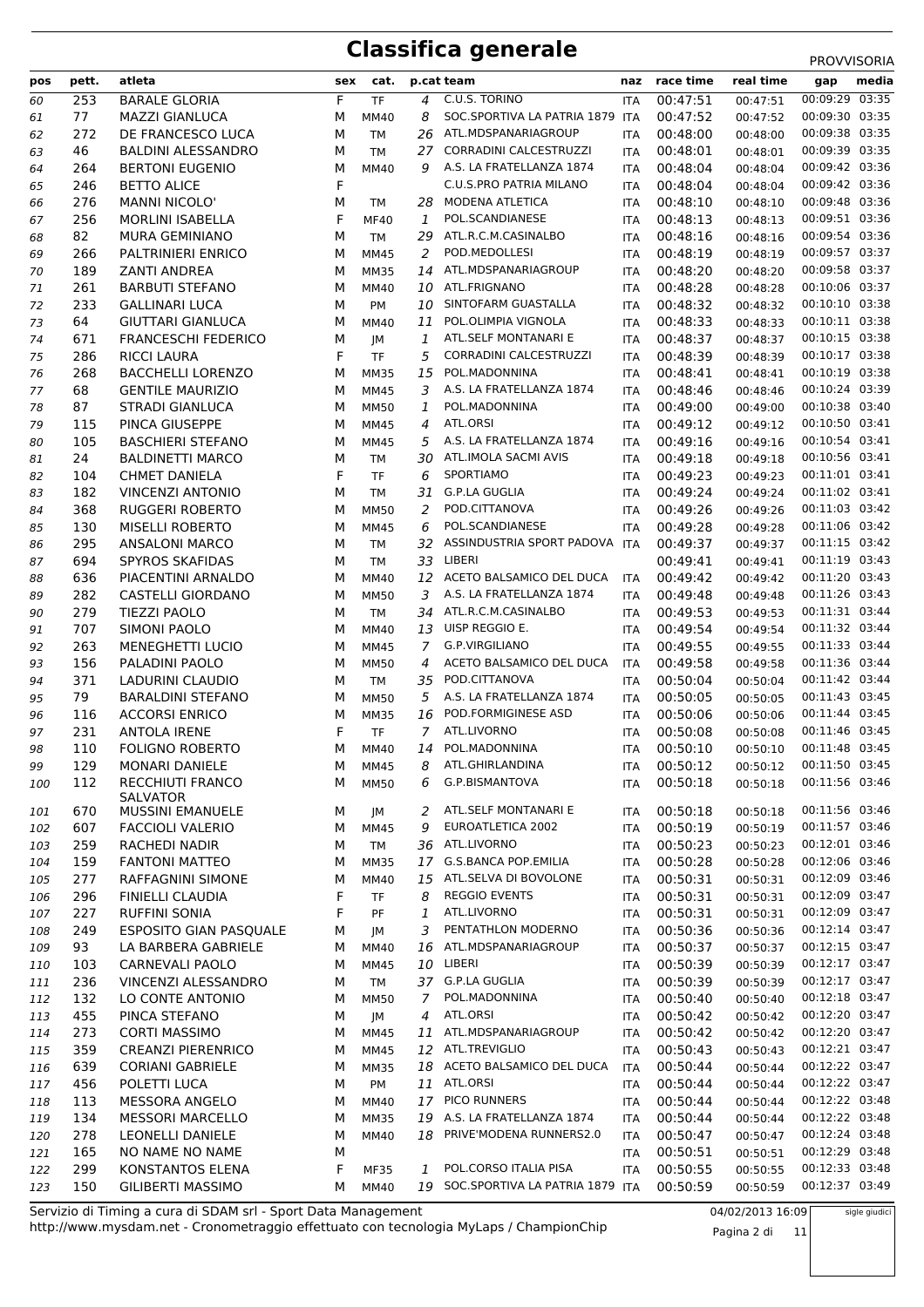| pos        | pett.      | atleta                                       | sex    | cat.                     |                | p.cat team                                      | naz               | race time            | real time            | gap                              | media |
|------------|------------|----------------------------------------------|--------|--------------------------|----------------|-------------------------------------------------|-------------------|----------------------|----------------------|----------------------------------|-------|
| 60         | 253        | <b>BARALE GLORIA</b>                         | F.     | <b>TF</b>                | 4              | C.U.S. TORINO                                   | ITA               | 00:47:51             | 00:47:51             | 00:09:29 03:35                   |       |
| 61         | 77         | <b>MAZZI GIANLUCA</b>                        | М      | <b>MM40</b>              | 8              | SOC.SPORTIVA LA PATRIA 1879 ITA                 |                   | 00:47:52             | 00:47:52             | 00:09:30 03:35                   |       |
| 62         | 272        | DE FRANCESCO LUCA                            | М      | <b>TM</b>                | 26             | ATL.MDSPANARIAGROUP                             | <b>ITA</b>        | 00:48:00             | 00:48:00             | 00:09:38 03:35                   |       |
| 63         | 46         | <b>BALDINI ALESSANDRO</b>                    | M      | <b>TM</b>                | 27             | CORRADINI CALCESTRUZZI                          | <b>ITA</b>        | 00:48:01             | 00:48:01             | 00:09:39 03:35                   |       |
| 64         | 264        | <b>BERTONI EUGENIO</b>                       | М      | MM40                     | 9              | A.S. LA FRATELLANZA 1874                        | ITA               | 00:48:04             | 00:48:04             | 00:09:42 03:36                   |       |
| 65         | 246        | <b>BETTO ALICE</b>                           | F      |                          |                | C.U.S.PRO PATRIA MILANO                         | ITA               | 00:48:04             | 00:48:04             | 00:09:42 03:36                   |       |
| 66         | 276        | <b>MANNI NICOLO'</b>                         | M      | TM                       | 28             | MODENA ATLETICA                                 | ITA               | 00:48:10             | 00:48:10             | 00:09:48 03:36                   |       |
| 67         | 256        | <b>MORLINI ISABELLA</b>                      | F      | <b>MF40</b>              | 1              | POL.SCANDIANESE<br>ATL.R.C.M.CASINALBO          | ITA               | 00:48:13<br>00:48:16 | 00:48:13             | 00:09:51 03:36<br>00:09:54 03:36 |       |
| 68         | 82<br>266  | MURA GEMINIANO<br>PALTRINIERI ENRICO         | М<br>M | <b>TM</b><br>MM45        | 29<br>2        | POD.MEDOLLESI                                   | ITA               | 00:48:19             | 00:48:16             | 00:09:57 03:37                   |       |
| 69<br>70   | 189        | <b>ZANTI ANDREA</b>                          | М      | <b>MM35</b>              |                | 14 ATL.MDSPANARIAGROUP                          | ITA<br>ITA        | 00:48:20             | 00:48:19<br>00:48:20 | 00:09:58 03:37                   |       |
| 71         | 261        | <b>BARBUTI STEFANO</b>                       | М      | MM40                     | 10             | ATL.FRIGNANO                                    | ITA               | 00:48:28             | 00:48:28             | 00:10:06 03:37                   |       |
| 72         | 233        | <b>GALLINARI LUCA</b>                        | М      | PM                       | 10             | SINTOFARM GUASTALLA                             | <b>ITA</b>        | 00:48:32             | 00:48:32             | 00:10:10 03:38                   |       |
| 73         | 64         | <b>GIUTTARI GIANLUCA</b>                     | М      | <b>MM40</b>              | 11             | POL.OLIMPIA VIGNOLA                             | <b>ITA</b>        | 00:48:33             | 00:48:33             | 00:10:11 03:38                   |       |
| 74         | 671        | <b>FRANCESCHI FEDERICO</b>                   | М      | JM                       | 1              | ATL.SELF MONTANARI E                            | <b>ITA</b>        | 00:48:37             | 00:48:37             | 00:10:15 03:38                   |       |
| 75         | 286        | <b>RICCI LAURA</b>                           | F      | <b>TF</b>                | 5              | CORRADINI CALCESTRUZZI                          | ITA               | 00:48:39             | 00:48:39             | 00:10:17 03:38                   |       |
| 76         | 268        | <b>BACCHELLI LORENZO</b>                     | М      | <b>MM35</b>              | 15             | POL.MADONNINA                                   | ITA               | 00:48:41             | 00:48:41             | 00:10:19 03:38                   |       |
| 77         | 68         | <b>GENTILE MAURIZIO</b>                      | м      | MM45                     | 3              | A.S. LA FRATELLANZA 1874                        | ITA               | 00:48:46             | 00:48:46             | 00:10:24 03:39                   |       |
| 78         | 87         | <b>STRADI GIANLUCA</b>                       | М      | <b>MM50</b>              | 1              | POL.MADONNINA                                   | ITA               | 00:49:00             | 00:49:00             | 00:10:38 03:40                   |       |
| 79         | 115        | PINCA GIUSEPPE                               | М      | MM45                     | 4              | ATL.ORSI                                        | <b>ITA</b>        | 00:49:12             | 00:49:12             | 00:10:50 03:41                   |       |
| 80         | 105        | <b>BASCHIERI STEFANO</b>                     | М      | <b>MM45</b>              | 5              | A.S. LA FRATELLANZA 1874                        | <b>ITA</b>        | 00:49:16             | 00:49:16             | 00:10:54 03:41                   |       |
| 81         | 24         | <b>BALDINETTI MARCO</b>                      | М      | TM                       | 30             | ATL.IMOLA SACMI AVIS                            | ITA               | 00:49:18             | 00:49:18             | 00:10:56 03:41                   |       |
| 82         | 104        | <b>CHMET DANIELA</b>                         | F      | <b>TF</b>                | 6              | SPORTIAMO                                       | <b>ITA</b>        | 00:49:23             | 00:49:23             | 00:11:01 03:41                   |       |
| 83         | 182        | <b>VINCENZI ANTONIO</b>                      | М      | <b>TM</b>                | 31             | G.P.LA GUGLIA                                   | <b>ITA</b>        | 00:49:24             | 00:49:24             | 00:11:02 03:41                   |       |
| 84         | 368        | <b>RUGGERI ROBERTO</b>                       | М      | <b>MM50</b>              | 2              | POD.CITTANOVA                                   | ITA               | 00:49:26             | 00:49:26             | 00:11:03 03:42                   |       |
| 85         | 130        | <b>MISELLI ROBERTO</b>                       | М      | <b>MM45</b>              | 6              | POL.SCANDIANESE                                 | <b>ITA</b>        | 00:49:28             | 00:49:28             | 00:11:06 03:42                   |       |
| 86         | 295        | <b>ANSALONI MARCO</b>                        | М      | <b>TM</b>                | 32             | ASSINDUSTRIA SPORT PADOVA ITA                   |                   | 00:49:37             | 00:49:37             | 00:11:15 03:42                   |       |
| 87         | 694        | SPYROS SKAFIDAS                              | М      | <b>TM</b>                | 33             | LIBERI                                          |                   | 00:49:41             | 00:49:41             | 00:11:19 03:43                   |       |
| 88         | 636        | PIACENTINI ARNALDO                           | М      | <b>MM40</b>              |                | 12 ACETO BALSAMICO DEL DUCA                     | <b>ITA</b>        | 00:49:42             | 00:49:42             | 00:11:20 03:43                   |       |
| 89         | 282        | <b>CASTELLI GIORDANO</b>                     | М      | <b>MM50</b>              | 3              | A.S. LA FRATELLANZA 1874                        | <b>ITA</b>        | 00:49:48             | 00:49:48             | 00:11:26 03:43                   |       |
| 90         | 279        | <b>TIEZZI PAOLO</b>                          | М      | <b>TM</b>                | 34             | ATL.R.C.M.CASINALBO                             | ITA               | 00:49:53             | 00:49:53             | 00:11:31 03:44                   |       |
| 91         | 707        | <b>SIMONI PAOLO</b>                          | М      | MM40                     |                | 13 UISP REGGIO E.                               | <b>ITA</b>        | 00:49:54             | 00:49:54             | 00:11:32 03:44                   |       |
| 92         | 263        | <b>MENEGHETTI LUCIO</b>                      | М      | <b>MM45</b>              | $\mathcal{I}$  | G.P.VIRGILIANO                                  | <b>ITA</b>        | 00:49:55             | 00:49:55             | 00:11:33 03:44                   |       |
| 93         | 156        | PALADINI PAOLO                               | М      | <b>MM50</b>              | 4              | ACETO BALSAMICO DEL DUCA                        | <b>ITA</b>        | 00:49:58             | 00:49:58             | 00:11:36 03:44                   |       |
| 94         | 371        | LADURINI CLAUDIO                             | М      | <b>TM</b>                | 35             | POD.CITTANOVA                                   | <b>ITA</b>        | 00:50:04             | 00:50:04             | 00:11:42 03:44                   |       |
| 95         | 79<br>116  | <b>BARALDINI STEFANO</b>                     | М<br>М | <b>MM50</b>              | 5<br>16        | A.S. LA FRATELLANZA 1874<br>POD.FORMIGINESE ASD | <b>ITA</b>        | 00:50:05             | 00:50:05             | 00:11:43 03:45<br>00:11:44 03:45 |       |
| 96         | 231        | <b>ACCORSI ENRICO</b><br><b>ANTOLA IRENE</b> | F      | <b>MM35</b><br><b>TF</b> | $\overline{7}$ | ATL.LIVORNO                                     | ITA<br><b>ITA</b> | 00:50:06<br>00:50:08 | 00:50:06<br>00:50:08 | 00:11:46 03:45                   |       |
| 97<br>98   | 110        | <b>FOLIGNO ROBERTO</b>                       | М      | MM40                     | 14             | POL.MADONNINA                                   | ITA               | 00:50:10             | 00:50:10             | 00:11:48 03:45                   |       |
| 99         | 129        | <b>MONARI DANIELE</b>                        | М      | MM45                     |                | 8 ATL.GHIRLANDINA                               |                   | ITA 00:50:12         | 00:50:12             | 00:11:50 03:45                   |       |
| 100        | 112        | <b>RECCHIUTI FRANCO</b>                      | м      | <b>MM50</b>              | 6              | G.P.BISMANTOVA                                  | <b>ITA</b>        | 00:50:18             | 00:50:18             | 00:11:56 03:46                   |       |
|            |            | SALVATOR                                     |        |                          |                |                                                 |                   |                      |                      |                                  |       |
| 101        | 670        | <b>MUSSINI EMANUELE</b>                      | м      | JM                       | 2              | ATL.SELF MONTANARI E                            | <b>ITA</b>        | 00:50:18             | 00:50:18             | 00:11:56 03:46                   |       |
| 102        | 607        | <b>FACCIOLI VALERIO</b>                      | М      | MM45                     | 9              | EUROATLETICA 2002                               | ITA               | 00:50:19             | 00:50:19             | 00:11:57 03:46                   |       |
| 103        | 259        | RACHEDI NADIR                                | м      | <b>TM</b>                |                | 36 ATL.LIVORNO                                  | ITA               | 00:50:23             | 00:50:23             | 00:12:01 03:46                   |       |
| 104        | 159        | <b>FANTONI MATTEO</b>                        | М      | <b>MM35</b>              |                | 17 G.S.BANCA POP.EMILIA                         | <b>ITA</b>        | 00:50:28             | 00:50:28             | 00:12:06 03:46                   |       |
| 105        | 277        | RAFFAGNINI SIMONE                            | м      | <b>MM40</b>              | 15             | ATL.SELVA DI BOVOLONE                           | <b>ITA</b>        | 00:50:31             | 00:50:31             | 00:12:09 03:46                   |       |
| 106        | 296        | FINIELLI CLAUDIA                             | F      | <b>TF</b>                | 8              | <b>REGGIO EVENTS</b>                            | <b>ITA</b>        | 00:50:31             | 00:50:31             | 00:12:09 03:47                   |       |
| 107        | 227        | <b>RUFFINI SONIA</b>                         | F      | <b>PF</b>                | 1              | ATL.LIVORNO                                     | ITA               | 00:50:31             | 00:50:31             | 00:12:09 03:47                   |       |
| 108        | 249        | ESPOSITO GIAN PASQUALE                       | М      | JМ                       | 3              | PENTATHLON MODERNO                              | <b>ITA</b>        | 00:50:36             | 00:50:36             | 00:12:14 03:47                   |       |
| 109        | 93         | LA BARBERA GABRIELE                          | м      | <b>MM40</b>              | 16             | ATL.MDSPANARIAGROUP                             | <b>ITA</b>        | 00:50:37             | 00:50:37             | 00:12:15 03:47<br>00:12:17 03:47 |       |
| 110        | 103        | CARNEVALI PAOLO                              | М      | <b>MM45</b>              |                | 10 LIBERI<br>37 G.P.LA GUGLIA                   | ITA               | 00:50:39             | 00:50:39             | 00:12:17 03:47                   |       |
| 111        | 236<br>132 | VINCENZI ALESSANDRO<br>LO CONTE ANTONIO      | М<br>м | <b>TM</b>                | 7              | POL.MADONNINA                                   | ITA               | 00:50:39<br>00:50:40 | 00:50:39             | 00:12:18 03:47                   |       |
| 112<br>113 | 455        | PINCA STEFANO                                | М      | <b>MM50</b><br>JM        | 4              | ATL.ORSI                                        | ITA<br>ITA        | 00:50:42             | 00:50:40<br>00:50:42 | 00:12:20 03:47                   |       |
| 114        | 273        | <b>CORTI MASSIMO</b>                         | М      | <b>MM45</b>              |                | 11 ATL.MDSPANARIAGROUP                          | <b>ITA</b>        | 00:50:42             | 00:50:42             | 00:12:20 03:47                   |       |
| 115        | 359        | <b>CREANZI PIERENRICO</b>                    | М      | MM45                     |                | 12 ATL.TREVIGLIO                                | ITA               | 00:50:43             | 00:50:43             | 00:12:21 03:47                   |       |
| 116        | 639        | <b>CORIANI GABRIELE</b>                      | М      | <b>MM35</b>              |                | 18 ACETO BALSAMICO DEL DUCA                     | <b>ITA</b>        | 00:50:44             | 00:50:44             | 00:12:22 03:47                   |       |
| 117        | 456        | POLETTI LUCA                                 | М      | PM                       |                | 11 ATL.ORSI                                     | <b>ITA</b>        | 00:50:44             | 00:50:44             | 00:12:22 03:47                   |       |
| 118        | 113        | MESSORA ANGELO                               | м      | MM40                     |                | 17 PICO RUNNERS                                 | <b>ITA</b>        | 00:50:44             | 00:50:44             | 00:12:22 03:48                   |       |
| 119        | 134        | <b>MESSORI MARCELLO</b>                      | М      | <b>MM35</b>              |                | 19 A.S. LA FRATELLANZA 1874                     | ITA               | 00:50:44             | 00:50:44             | 00:12:22 03:48                   |       |
| 120        | 278        | LEONELLI DANIELE                             | м      | MM40                     |                | 18 PRIVE'MODENA RUNNERS2.0                      | <b>ITA</b>        | 00:50:47             | 00:50:47             | 00:12:24 03:48                   |       |
| 121        | 165        | NO NAME NO NAME                              | М      |                          |                |                                                 | ITA               | 00:50:51             | 00:50:51             | 00:12:29 03:48                   |       |
| 122        | 299        | KONSTANTOS ELENA                             | F      | <b>MF35</b>              | 1              | POL.CORSO ITALIA PISA                           | <b>ITA</b>        | 00:50:55             | 00:50:55             | 00:12:33 03:48                   |       |
| 123        | 150        | <b>GILIBERTI MASSIMO</b>                     | м      | MM40                     |                | 19 SOC.SPORTIVA LA PATRIA 1879 ITA              |                   | 00:50:59             | 00:50:59             | 00:12:37 03:49                   |       |

http://www.mysdam.net - Cronometraggio effettuato con tecnologia MyLaps / ChampionChip Servizio di Timing a cura di SDAM srl - Sport Data Management 04/02/2013 16:09

Pagina 2 di 11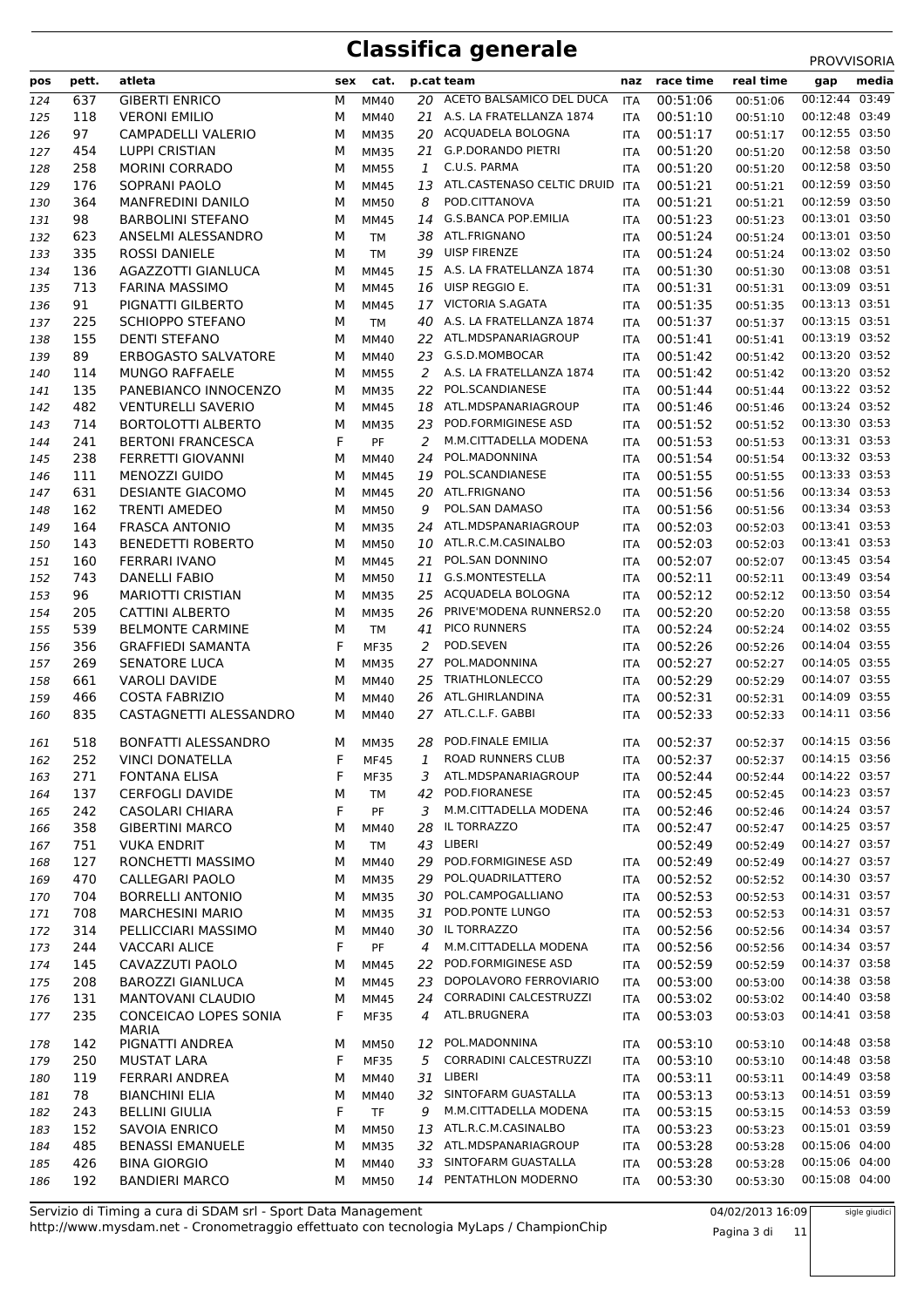| pos        | pett.      | atleta                                            | sex    | cat.                       |              | p.cat team                                   | naz               | race time            | real time            | gap                              | media |
|------------|------------|---------------------------------------------------|--------|----------------------------|--------------|----------------------------------------------|-------------------|----------------------|----------------------|----------------------------------|-------|
| 124        | 637        | <b>GIBERTI ENRICO</b>                             | М      | <b>MM40</b>                |              | 20 ACETO BALSAMICO DEL DUCA                  | <b>ITA</b>        | 00:51:06             | 00:51:06             | 00:12:44 03:49                   |       |
| 125        | 118        | <b>VERONI EMILIO</b>                              | М      | MM40                       |              | 21 A.S. LA FRATELLANZA 1874                  | <b>ITA</b>        | 00:51:10             | 00:51:10             | 00:12:48 03:49                   |       |
| 126        | 97         | CAMPADELLI VALERIO                                | M      | <b>MM35</b>                |              | 20 ACQUADELA BOLOGNA                         | <b>ITA</b>        | 00:51:17             | 00:51:17             | 00:12:55 03:50                   |       |
| 127        | 454        | <b>LUPPI CRISTIAN</b>                             | M      | <b>MM35</b>                | 21           | <b>G.P.DORANDO PIETRI</b>                    | ITA               | 00:51:20             | 00:51:20             | 00:12:58 03:50                   |       |
| 128        | 258        | <b>MORINI CORRADO</b>                             | M      | <b>MM55</b>                | $\mathbf{1}$ | C.U.S. PARMA                                 | <b>ITA</b>        | 00:51:20             | 00:51:20             | 00:12:58 03:50                   |       |
| 129        | 176        | SOPRANI PAOLO                                     | M      | <b>MM45</b>                | 13           | ATL.CASTENASO CELTIC DRUID                   | <b>ITA</b>        | 00:51:21             | 00:51:21             | 00:12:59 03:50                   |       |
| 130        | 364        | MANFREDINI DANILO                                 | M      | <b>MM50</b>                | 8            | POD.CITTANOVA                                | ITA               | 00:51:21             | 00:51:21             | 00:12:59 03:50                   |       |
| 131        | 98         | <b>BARBOLINI STEFANO</b>                          | М      | <b>MM45</b>                | 14           | <b>G.S.BANCA POP.EMILIA</b>                  | <b>ITA</b>        | 00:51:23             | 00:51:23             | 00:13:01 03:50<br>00:13:01 03:50 |       |
| 132        | 623        | ANSELMI ALESSANDRO                                | M      | <b>TM</b>                  | 38           | ATL.FRIGNANO<br>UISP FIRENZE                 | <b>ITA</b>        | 00:51:24             | 00:51:24             | 00:13:02 03:50                   |       |
| 133<br>134 | 335<br>136 | ROSSI DANIELE<br>AGAZZOTTI GIANLUCA               | M<br>м | <b>TM</b><br><b>MM45</b>   | 39           | 15 A.S. LA FRATELLANZA 1874                  | ITA<br><b>ITA</b> | 00:51:24<br>00:51:30 | 00:51:24<br>00:51:30 | 00:13:08 03:51                   |       |
| 135        | 713        | <b>FARINA MASSIMO</b>                             | м      | <b>MM45</b>                |              | 16 UISP REGGIO E.                            | <b>ITA</b>        | 00:51:31             | 00:51:31             | 00:13:09 03:51                   |       |
| 136        | 91         | PIGNATTI GILBERTO                                 | M      | <b>MM45</b>                |              | 17 VICTORIA S.AGATA                          | ITA               | 00:51:35             | 00:51:35             | 00:13:13 03:51                   |       |
| 137        | 225        | <b>SCHIOPPO STEFANO</b>                           | М      | <b>TM</b>                  |              | 40 A.S. LA FRATELLANZA 1874                  | ITA               | 00:51:37             | 00:51:37             | 00:13:15 03:51                   |       |
| 138        | 155        | <b>DENTI STEFANO</b>                              | м      | <b>MM40</b>                | 22           | ATL.MDSPANARIAGROUP                          | ITA               | 00:51:41             | 00:51:41             | 00:13:19 03:52                   |       |
| 139        | 89         | ERBOGASTO SALVATORE                               | М      | MM40                       | 23           | G.S.D.MOMBOCAR                               | ITA               | 00:51:42             | 00:51:42             | 00:13:20 03:52                   |       |
| 140        | 114        | <b>MUNGO RAFFAELE</b>                             | м      | <b>MM55</b>                |              | 2 A.S. LA FRATELLANZA 1874                   | <b>ITA</b>        | 00:51:42             | 00:51:42             | 00:13:20 03:52                   |       |
| 141        | 135        | PANEBIANCO INNOCENZO                              | м      | <b>MM35</b>                | 22           | POL.SCANDIANESE                              | <b>ITA</b>        | 00:51:44             | 00:51:44             | 00:13:22 03:52                   |       |
| 142        | 482        | <b>VENTURELLI SAVERIO</b>                         | M      | <b>MM45</b>                | 18           | ATL.MDSPANARIAGROUP                          | ITA               | 00:51:46             | 00:51:46             | 00:13:24 03:52                   |       |
| 143        | 714        | <b>BORTOLOTTI ALBERTO</b>                         | М      | <b>MM35</b>                | 23           | POD.FORMIGINESE ASD                          | <b>ITA</b>        | 00:51:52             | 00:51:52             | 00:13:30 03:53                   |       |
| 144        | 241        | <b>BERTONI FRANCESCA</b>                          | F      | PF                         | 2            | M.M.CITTADELLA MODENA                        | <b>ITA</b>        | 00:51:53             | 00:51:53             | 00:13:31 03:53                   |       |
| 145        | 238        | FERRETTI GIOVANNI                                 | M      | MM40                       | 24           | POL.MADONNINA                                | ITA               | 00:51:54             | 00:51:54             | 00:13:32 03:53                   |       |
| 146        | 111        | <b>MENOZZI GUIDO</b>                              | м      | <b>MM45</b>                | 19           | POL.SCANDIANESE                              | <b>ITA</b>        | 00:51:55             | 00:51:55             | 00:13:33 03:53                   |       |
| 147        | 631        | <b>DESIANTE GIACOMO</b>                           | M      | <b>MM45</b>                | 20           | ATL.FRIGNANO                                 | <b>ITA</b>        | 00:51:56             | 00:51:56             | 00:13:34 03:53                   |       |
| 148        | 162        | <b>TRENTI AMEDEO</b>                              | M      | <b>MM50</b>                | 9            | POL.SAN DAMASO                               | ITA               | 00:51:56             | 00:51:56             | 00:13:34 03:53                   |       |
| 149        | 164        | <b>FRASCA ANTONIO</b>                             | М      | <b>MM35</b>                | 24           | ATL.MDSPANARIAGROUP                          | <b>ITA</b>        | 00:52:03             | 00:52:03             | 00:13:41 03:53                   |       |
| 150        | 143        | <b>BENEDETTI ROBERTO</b>                          | м      | <b>MM50</b>                | 10           | ATL.R.C.M.CASINALBO                          | <b>ITA</b>        | 00:52:03             | 00:52:03             | 00:13:41 03:53                   |       |
| 151        | 160        | FERRARI IVANO                                     | м      | <b>MM45</b>                | 21           | POL.SAN DONNINO                              | ITA               | 00:52:07             | 00:52:07             | 00:13:45 03:54                   |       |
| 152        | 743        | DANELLI FABIO                                     | м      | <b>MM50</b>                | 11           | G.S.MONTESTELLA                              | <b>ITA</b>        | 00:52:11             | 00:52:11             | 00:13:49 03:54                   |       |
| 153        | 96<br>205  | <b>MARIOTTI CRISTIAN</b>                          | M      | <b>MM35</b>                | 25           | ACQUADELA BOLOGNA<br>PRIVE'MODENA RUNNERS2.0 | <b>ITA</b>        | 00:52:12<br>00:52:20 | 00:52:12<br>00:52:20 | 00:13:50 03:54<br>00:13:58 03:55 |       |
| 154<br>155 | 539        | <b>CATTINI ALBERTO</b><br><b>BELMONTE CARMINE</b> | М<br>М | <b>MM35</b><br><b>TM</b>   | 26<br>41     | PICO RUNNERS                                 | ITA<br><b>ITA</b> | 00:52:24             | 00:52:24             | 00:14:02 03:55                   |       |
| 156        | 356        | <b>GRAFFIEDI SAMANTA</b>                          | F      | <b>MF35</b>                | 2            | POD.SEVEN                                    | ITA               | 00:52:26             | 00:52:26             | 00:14:04 03:55                   |       |
| 157        | 269        | <b>SENATORE LUCA</b>                              | M      | <b>MM35</b>                | 27           | POL.MADONNINA                                | ITA               | 00:52:27             | 00:52:27             | 00:14:05 03:55                   |       |
| 158        | 661        | <b>VAROLI DAVIDE</b>                              | м      | <b>MM40</b>                | 25           | <b>TRIATHLONLECCO</b>                        | <b>ITA</b>        | 00:52:29             | 00:52:29             | 00:14:07 03:55                   |       |
| 159        | 466        | <b>COSTA FABRIZIO</b>                             | м      | MM40                       | 26           | ATL.GHIRLANDINA                              | <b>ITA</b>        | 00:52:31             | 00:52:31             | 00:14:09 03:55                   |       |
| 160        | 835        | CASTAGNETTI ALESSANDRO                            | М      | MM40                       |              | 27 ATL.C.L.F. GABBI                          | ITA               | 00:52:33             | 00:52:33             | 00:14:11 03:56                   |       |
| 161        | 518        | BONFATTI ALESSANDRO                               | M      | <b>MM35</b>                | 28           | POD.FINALE EMILIA                            | <b>ITA</b>        | 00:52:37             | 00:52:37             | 00:14:15 03:56                   |       |
| 162        | 252        | <b>VINCI DONATELLA</b>                            | F      | <b>MF45</b>                | 1            | ROAD RUNNERS CLUB                            | <b>ITA</b>        | 00:52:37             | 00:52:37             | 00:14:15 03:56                   |       |
| 163        | 271        | <b>FONTANA ELISA</b>                              | F      | <b>MF35</b>                | 3            | ATL.MDSPANARIAGROUP                          | ITA               | 00:52:44             | 00:52:44             | 00:14:22 03:57                   |       |
| 164        | 137        | <b>CERFOGLI DAVIDE</b>                            | М      | TM                         | 42           | POD.FIORANESE                                | ITA               | 00:52:45             | 00:52:45             | 00:14:23 03:57                   |       |
| 165        | 242        | CASOLARI CHIARA                                   | F      | PF                         | 3            | M.M.CITTADELLA MODENA                        | ITA               | 00:52:46             | 00:52:46             | 00:14:24 03:57                   |       |
| 166        | 358        | <b>GIBERTINI MARCO</b>                            | М      | MM40                       | 28           | IL TORRAZZO                                  | ITA               | 00:52:47             | 00:52:47             | 00:14:25 03:57                   |       |
| 167        | 751        | <b>VUKA ENDRIT</b>                                | М      | TM                         | 43           | LIBERI                                       |                   | 00:52:49             | 00:52:49             | 00:14:27 03:57                   |       |
| 168        | 127        | RONCHETTI MASSIMO                                 | м      | <b>MM40</b>                | 29           | POD.FORMIGINESE ASD                          | ITA               | 00:52:49             | 00:52:49             | 00:14:27 03:57                   |       |
| 169        | 470        | CALLEGARI PAOLO                                   | М      | <b>MM35</b>                | 29           | POL.QUADRILATTERO                            | ITA               | 00:52:52             | 00:52:52             | 00:14:30 03:57                   |       |
| 170        | 704        | <b>BORRELLI ANTONIO</b>                           | М      | <b>MM35</b>                | 30           | POL.CAMPOGALLIANO                            | ITA               | 00:52:53             | 00:52:53             | 00:14:31 03:57                   |       |
| 171        | 708        | <b>MARCHESINI MARIO</b>                           | М      | <b>MM35</b>                | 31           | POD.PONTE LUNGO                              | ITA               | 00:52:53             | 00:52:53             | 00:14:31 03:57                   |       |
| 172        | 314        | PELLICCIARI MASSIMO                               | М      | <b>MM40</b>                |              | 30 IL TORRAZZO<br>M.M.CITTADELLA MODENA      | ITA               | 00:52:56             | 00:52:56             | 00:14:34 03:57<br>00:14:34 03:57 |       |
| 173        | 244        | <b>VACCARI ALICE</b><br>CAVAZZUTI PAOLO           | F      | PF                         | 4<br>22      | POD.FORMIGINESE ASD                          | ITA               | 00:52:56<br>00:52:59 | 00:52:56             | 00:14:37 03:58                   |       |
| 174<br>175 | 145<br>208 | <b>BAROZZI GIANLUCA</b>                           | М<br>М | <b>MM45</b><br><b>MM45</b> | 23           | DOPOLAVORO FERROVIARIO                       | ITA<br>ITA        | 00:53:00             | 00:52:59<br>00:53:00 | 00:14:38 03:58                   |       |
| 176        | 131        | MANTOVANI CLAUDIO                                 | М      | MM45                       | 24           | CORRADINI CALCESTRUZZI                       | ITA               | 00:53:02             | 00:53:02             | 00:14:40 03:58                   |       |
| 177        | 235        | CONCEICAO LOPES SONIA                             | F      | <b>MF35</b>                | 4            | ATL.BRUGNERA                                 | ITA               | 00:53:03             | 00:53:03             | 00:14:41 03:58                   |       |
| 178        | 142        | <b>MARIA</b><br>PIGNATTI ANDREA                   | м      | <b>MM50</b>                | 12           | POL.MADONNINA                                | ITA               | 00:53:10             | 00:53:10             | 00:14:48 03:58                   |       |
| 179        | 250        | <b>MUSTAT LARA</b>                                | F      | <b>MF35</b>                | 5            | CORRADINI CALCESTRUZZI                       | ITA               | 00:53:10             | 00:53:10             | 00:14:48 03:58                   |       |
| 180        | 119        | FERRARI ANDREA                                    | М      | <b>MM40</b>                | 31           | LIBERI                                       | ITA               | 00:53:11             | 00:53:11             | 00:14:49 03:58                   |       |
| 181        | 78         | <b>BIANCHINI ELIA</b>                             | М      | <b>MM40</b>                |              | 32 SINTOFARM GUASTALLA                       | <b>ITA</b>        | 00:53:13             | 00:53:13             | 00:14:51 03:59                   |       |
| 182        | 243        | <b>BELLINI GIULIA</b>                             | F      | <b>TF</b>                  | 9            | M.M.CITTADELLA MODENA                        | ITA               | 00:53:15             | 00:53:15             | 00:14:53 03:59                   |       |
| 183        | 152        | SAVOIA ENRICO                                     | М      | <b>MM50</b>                | 13           | ATL.R.C.M.CASINALBO                          | ITA               | 00:53:23             | 00:53:23             | 00:15:01 03:59                   |       |
| 184        | 485        | <b>BENASSI EMANUELE</b>                           | М      | <b>MM35</b>                | 32           | ATL.MDSPANARIAGROUP                          | ITA               | 00:53:28             | 00:53:28             | 00:15:06 04:00                   |       |
| 185        | 426        | <b>BINA GIORGIO</b>                               | М      | <b>MM40</b>                | 33           | SINTOFARM GUASTALLA                          | ITA               | 00:53:28             | 00:53:28             | 00:15:06 04:00                   |       |
| 186        | 192        | <b>BANDIERI MARCO</b>                             | м      | <b>MM50</b>                |              | 14 PENTATHLON MODERNO                        | ITA               | 00:53:30             | 00:53:30             | 00:15:08 04:00                   |       |

http://www.mysdam.net - Cronometraggio effettuato con tecnologia MyLaps / ChampionChip Servizio di Timing a cura di SDAM srl - Sport Data Management 04/02/2013 16:09

Pagina 3 di 11

sigle giudici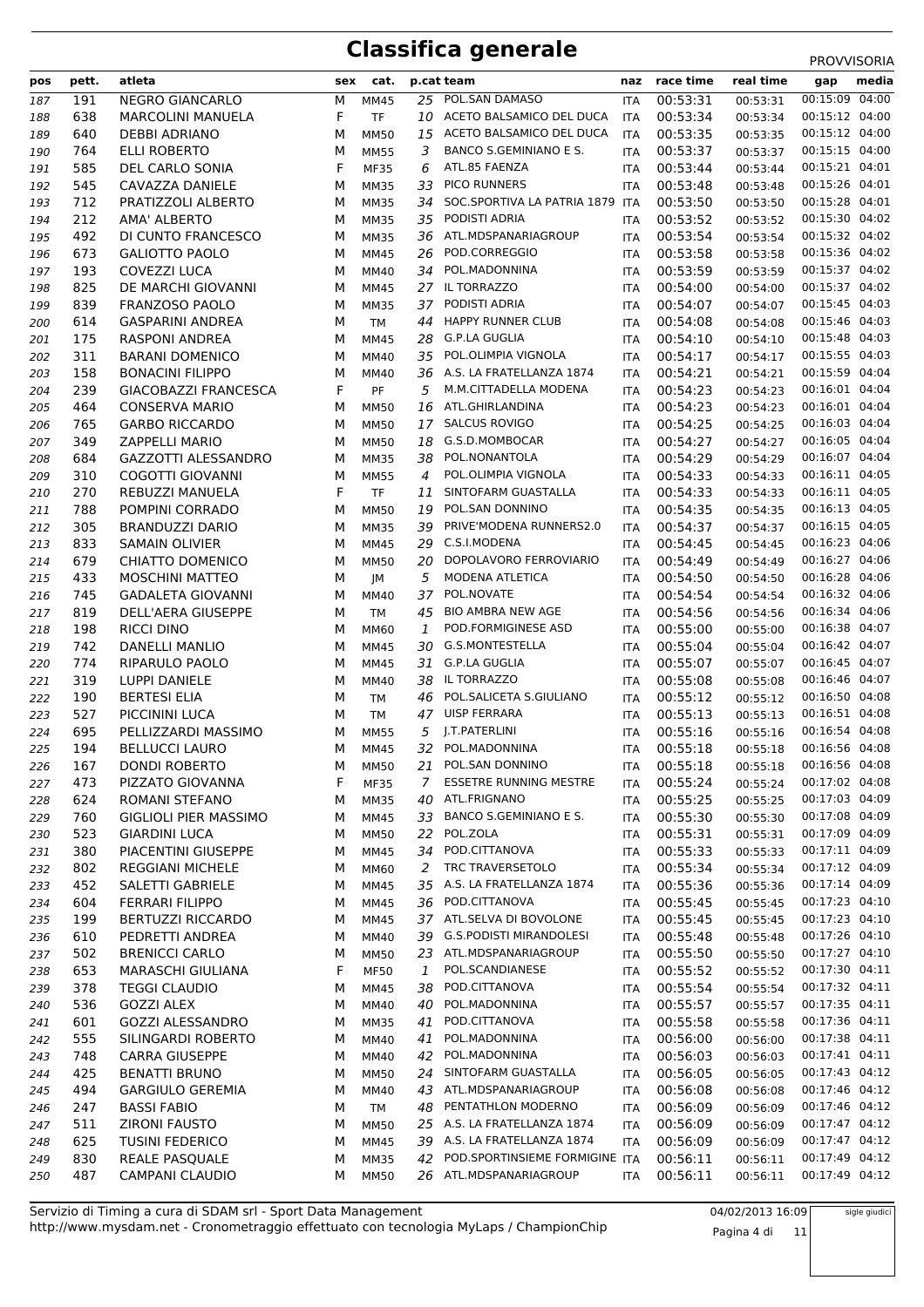| pos        | pett.      | atleta                                             | sex    | cat.                       |          | p.cat team                                                    | naz                      | race time            | real time            | gap                              | media |
|------------|------------|----------------------------------------------------|--------|----------------------------|----------|---------------------------------------------------------------|--------------------------|----------------------|----------------------|----------------------------------|-------|
| 187        | 191        | <b>NEGRO GIANCARLO</b>                             | М      | <b>MM45</b>                |          | 25 POL.SAN DAMASO                                             | ITA                      | 00:53:31             | 00:53:31             | 00:15:09 04:00                   |       |
| 188        | 638        | <b>MARCOLINI MANUELA</b>                           | F      | <b>TF</b>                  | 10       | ACETO BALSAMICO DEL DUCA                                      | <b>ITA</b>               | 00:53:34             | 00:53:34             | 00:15:12 04:00                   |       |
| 189        | 640        | <b>DEBBI ADRIANO</b>                               | М      | <b>MM50</b>                | 15       | ACETO BALSAMICO DEL DUCA                                      | <b>ITA</b>               | 00:53:35             | 00:53:35             | 00:15:12 04:00                   |       |
| 190        | 764        | <b>ELLI ROBERTO</b>                                | М      | <b>MM55</b>                | 3        | BANCO S.GEMINIANO E S.                                        | <b>ITA</b>               | 00:53:37             | 00:53:37             | 00:15:15 04:00                   |       |
| 191        | 585        | DEL CARLO SONIA                                    | F      | <b>MF35</b>                | 6        | ATL.85 FAENZA                                                 | ITA                      | 00:53:44             | 00:53:44             | 00:15:21 04:01                   |       |
| 192        | 545        | CAVAZZA DANIELE                                    | M      | <b>MM35</b>                | 33       | PICO RUNNERS                                                  | <b>ITA</b>               | 00:53:48             | 00:53:48             | 00:15:26 04:01                   |       |
| 193        | 712        | PRATIZZOLI ALBERTO                                 | M      | <b>MM35</b>                | 34       | SOC.SPORTIVA LA PATRIA 1879                                   | <b>ITA</b>               | 00:53:50             | 00:53:50             | 00:15:28 04:01                   |       |
| 194        | 212        | AMA' ALBERTO                                       | M      | <b>MM35</b>                | 35       | PODISTI ADRIA                                                 | <b>ITA</b>               | 00:53:52             | 00:53:52             | 00:15:30 04:02                   |       |
| 195        | 492<br>673 | DI CUNTO FRANCESCO                                 | М      | <b>MM35</b><br><b>MM45</b> | 36       | ATL.MDSPANARIAGROUP<br>POD.CORREGGIO                          | <b>ITA</b>               | 00:53:54             | 00:53:54             | 00:15:32 04:02<br>00:15:36 04:02 |       |
| 196<br>197 | 193        | GALIOTTO PAOLO<br>COVEZZI LUCA                     | M<br>M | MM40                       | 26<br>34 | POL.MADONNINA                                                 | <b>ITA</b><br><b>ITA</b> | 00:53:58<br>00:53:59 | 00:53:58<br>00:53:59 | 00:15:37 04:02                   |       |
|            | 825        | DE MARCHI GIOVANNI                                 | M      | <b>MM45</b>                |          | 27 IL TORRAZZO                                                | <b>ITA</b>               | 00:54:00             | 00:54:00             | 00:15:37 04:02                   |       |
| 198<br>199 | 839        | FRANZOSO PAOLO                                     | M      | <b>MM35</b>                | 37       | PODISTI ADRIA                                                 | <b>ITA</b>               | 00:54:07             | 00:54:07             | 00:15:45 04:03                   |       |
| 200        | 614        | <b>GASPARINI ANDREA</b>                            | М      | <b>TM</b>                  | 44       | <b>HAPPY RUNNER CLUB</b>                                      | <b>ITA</b>               | 00:54:08             | 00:54:08             | 00:15:46 04:03                   |       |
| 201        | 175        | RASPONI ANDREA                                     | м      | <b>MM45</b>                | 28       | <b>G.P.LA GUGLIA</b>                                          | <b>ITA</b>               | 00:54:10             | 00:54:10             | 00:15:48 04:03                   |       |
| 202        | 311        | <b>BARANI DOMENICO</b>                             | M      | MM40                       | 35       | POL.OLIMPIA VIGNOLA                                           | <b>ITA</b>               | 00:54:17             | 00:54:17             | 00:15:55 04:03                   |       |
| 203        | 158        | <b>BONACINI FILIPPO</b>                            | M      | <b>MM40</b>                |          | 36 A.S. LA FRATELLANZA 1874                                   | <b>ITA</b>               | 00:54:21             | 00:54:21             | 00:15:59 04:04                   |       |
| 204        | 239        | <b>GIACOBAZZI FRANCESCA</b>                        | F      | PF                         | 5        | M.M.CITTADELLA MODENA                                         | <b>ITA</b>               | 00:54:23             | 00:54:23             | 00:16:01 04:04                   |       |
| 205        | 464        | <b>CONSERVA MARIO</b>                              | М      | <b>MM50</b>                | 16       | ATL.GHIRLANDINA                                               | <b>ITA</b>               | 00:54:23             | 00:54:23             | 00:16:01 04:04                   |       |
| 206        | 765        | <b>GARBO RICCARDO</b>                              | M      | <b>MM50</b>                | 17       | <b>SALCUS ROVIGO</b>                                          | <b>ITA</b>               | 00:54:25             | 00:54:25             | 00:16:03 04:04                   |       |
| 207        | 349        | <b>ZAPPELLI MARIO</b>                              | M      | <b>MM50</b>                | 18       | G.S.D.MOMBOCAR                                                | <b>ITA</b>               | 00:54:27             | 00:54:27             | 00:16:05 04:04                   |       |
| 208        | 684        | GAZZOTTI ALESSANDRO                                | M      | <b>MM35</b>                | 38       | POL.NONANTOLA                                                 | <b>ITA</b>               | 00:54:29             | 00:54:29             | 00:16:07 04:04                   |       |
| 209        | 310        | COGOTTI GIOVANNI                                   | M      | <b>MM55</b>                | 4        | POL.OLIMPIA VIGNOLA                                           | <b>ITA</b>               | 00:54:33             | 00:54:33             | 00:16:11 04:05                   |       |
| 210        | 270        | <b>REBUZZI MANUELA</b>                             | F      | <b>TF</b>                  | 11       | SINTOFARM GUASTALLA                                           | <b>ITA</b>               | 00:54:33             | 00:54:33             | 00:16:11 04:05                   |       |
| 211        | 788        | POMPINI CORRADO                                    | М      | <b>MM50</b>                | 19       | POL.SAN DONNINO                                               | <b>ITA</b>               | 00:54:35             | 00:54:35             | 00:16:13 04:05                   |       |
| 212        | 305        | <b>BRANDUZZI DARIO</b>                             | M      | <b>MM35</b>                | 39       | PRIVE'MODENA RUNNERS2.0                                       | <b>ITA</b>               | 00:54:37             | 00:54:37             | 00:16:15 04:05                   |       |
| 213        | 833        | <b>SAMAIN OLIVIER</b>                              | М      | <b>MM45</b>                | 29       | C.S.I.MODENA                                                  | <b>ITA</b>               | 00:54:45             | 00:54:45             | 00:16:23 04:06                   |       |
| 214        | 679<br>433 | CHIATTO DOMENICO                                   | M      | <b>MM50</b>                | 20<br>5  | DOPOLAVORO FERROVIARIO<br>MODENA ATLETICA                     | <b>ITA</b>               | 00:54:49<br>00:54:50 | 00:54:49             | 00:16:27 04:06<br>00:16:28 04:06 |       |
| 215<br>216 | 745        | <b>MOSCHINI MATTEO</b><br><b>GADALETA GIOVANNI</b> | M<br>M | JМ<br><b>MM40</b>          | 37       | POL.NOVATE                                                    | <b>ITA</b><br><b>ITA</b> | 00:54:54             | 00:54:50<br>00:54:54 | 00:16:32 04:06                   |       |
| 217        | 819        | DELL'AERA GIUSEPPE                                 | М      | <b>TM</b>                  | 45       | <b>BIO AMBRA NEW AGE</b>                                      | <b>ITA</b>               | 00:54:56             | 00:54:56             | 00:16:34 04:06                   |       |
| 218        | 198        | RICCI DINO                                         | м      | MM60                       | 1        | POD.FORMIGINESE ASD                                           | <b>ITA</b>               | 00:55:00             | 00:55:00             | 00:16:38 04:07                   |       |
| 219        | 742        | DANELLI MANLIO                                     | М      | <b>MM45</b>                | 30       | G.S.MONTESTELLA                                               | <b>ITA</b>               | 00:55:04             | 00:55:04             | 00:16:42 04:07                   |       |
| 220        | 774        | RIPARULO PAOLO                                     | М      | <b>MM45</b>                | 31       | <b>G.P.LA GUGLIA</b>                                          | <b>ITA</b>               | 00:55:07             | 00:55:07             | 00:16:45 04:07                   |       |
| 221        | 319        | LUPPI DANIELE                                      | M      | MM40                       | 38       | IL TORRAZZO                                                   | <b>ITA</b>               | 00:55:08             | 00:55:08             | 00:16:46 04:07                   |       |
| 222        | 190        | <b>BERTESI ELIA</b>                                | М      | <b>TM</b>                  | 46       | POL.SALICETA S.GIULIANO                                       | <b>ITA</b>               | 00:55:12             | 00:55:12             | 00:16:50 04:08                   |       |
| 223        | 527        | PICCININI LUCA                                     | М      | <b>TM</b>                  | 47       | <b>UISP FERRARA</b>                                           | <b>ITA</b>               | 00:55:13             | 00:55:13             | 00:16:51 04:08                   |       |
| 224        | 695        | PELLIZZARDI MASSIMO                                | м      | <b>MM55</b>                | 5        | J.T.PATERLINI                                                 | <b>ITA</b>               | 00:55:16             | 00:55:16             | 00:16:54 04:08                   |       |
| 225        | 194        | <b>BELLUCCI LAURO</b>                              | M      | <b>MM45</b>                | 32       | POL.MADONNINA                                                 | <b>ITA</b>               | 00:55:18             | 00:55:18             | 00:16:56 04:08                   |       |
| 226        | 167        | DONDI ROBERTO                                      | М      | <b>MM50</b>                | 21       | POL.SAN DONNINO                                               | <b>ITA</b>               | 00:55:18             | 00:55:18             | 00:16:56 04:08                   |       |
| 227        | 473        | PIZZATO GIOVANNA                                   | F      | <b>MF35</b>                | 7        | <b>ESSETRE RUNNING MESTRE</b>                                 | <b>ITA</b>               | 00:55:24             | 00:55:24             | 00:17:02 04:08                   |       |
| 228        | 624        | ROMANI STEFANO                                     | М      | <b>MM35</b>                | 40       | ATL.FRIGNANO                                                  | <b>ITA</b>               | 00:55:25             | 00:55:25             | 00:17:03 04:09                   |       |
| 229        | 760        | <b>GIGLIOLI PIER MASSIMO</b>                       | М      | <b>MM45</b>                | 33       | BANCO S.GEMINIANO E S.                                        | ITA                      | 00:55:30             | 00:55:30             | 00:17:08 04:09                   |       |
| 230        | 523        | <b>GIARDINI LUCA</b>                               | М      | <b>MM50</b>                | 22       | POL.ZOLA<br>POD.CITTANOVA                                     | ITA                      | 00:55:31             | 00:55:31             | 00:17:09 04:09<br>00:17:11 04:09 |       |
| 231<br>232 | 380<br>802 | PIACENTINI GIUSEPPE<br><b>REGGIANI MICHELE</b>     | М<br>М | <b>MM45</b><br><b>MM60</b> | 34<br>2  | TRC TRAVERSETOLO                                              | <b>ITA</b><br>ITA        | 00:55:33<br>00:55:34 | 00:55:33<br>00:55:34 | 00:17:12 04:09                   |       |
| 233        | 452        | SALETTI GABRIELE                                   | М      | <b>MM45</b>                |          | 35 A.S. LA FRATELLANZA 1874                                   | ITA                      | 00:55:36             | 00:55:36             | 00:17:14 04:09                   |       |
| 234        | 604        | <b>FERRARI FILIPPO</b>                             | М      | <b>MM45</b>                | 36       | POD.CITTANOVA                                                 | ITA                      | 00:55:45             | 00:55:45             | 00:17:23 04:10                   |       |
| 235        | 199        | BERTUZZI RICCARDO                                  | М      | <b>MM45</b>                |          | 37 ATL.SELVA DI BOVOLONE                                      | ITA                      | 00:55:45             | 00:55:45             | 00:17:23 04:10                   |       |
| 236        | 610        | PEDRETTI ANDREA                                    | м      | MM40                       | 39       | <b>G.S.PODISTI MIRANDOLESI</b>                                | ITA                      | 00:55:48             | 00:55:48             | 00:17:26 04:10                   |       |
| 237        | 502        | <b>BRENICCI CARLO</b>                              | М      | <b>MM50</b>                |          | 23 ATL.MDSPANARIAGROUP                                        | <b>ITA</b>               | 00:55:50             | 00:55:50             | 00:17:27 04:10                   |       |
| 238        | 653        | MARASCHI GIULIANA                                  | F      | <b>MF50</b>                | 1        | POL.SCANDIANESE                                               | ITA                      | 00:55:52             | 00:55:52             | 00:17:30 04:11                   |       |
| 239        | 378        | <b>TEGGI CLAUDIO</b>                               | M      | MM45                       | 38       | POD.CITTANOVA                                                 | ITA                      | 00:55:54             | 00:55:54             | 00:17:32 04:11                   |       |
| 240        | 536        | <b>GOZZI ALEX</b>                                  | M      | MM40                       | 40       | POL.MADONNINA                                                 | ITA                      | 00:55:57             | 00:55:57             | 00:17:35 04:11                   |       |
| 241        | 601        | <b>GOZZI ALESSANDRO</b>                            | М      | MM35                       | 41       | POD.CITTANOVA                                                 | ITA                      | 00:55:58             | 00:55:58             | 00:17:36 04:11                   |       |
| 242        | 555        | SILINGARDI ROBERTO                                 | М      | MM40                       | 41       | POL.MADONNINA                                                 | ITA                      | 00:56:00             | 00:56:00             | 00:17:38 04:11                   |       |
| 243        | 748        | <b>CARRA GIUSEPPE</b>                              | М      | MM40                       | 42       | POL.MADONNINA                                                 | <b>ITA</b>               | 00:56:03             | 00:56:03             | 00:17:41 04:11                   |       |
| 244        | 425        | <b>BENATTI BRUNO</b>                               | М      | <b>MM50</b>                | 24       | SINTOFARM GUASTALLA                                           | <b>ITA</b>               | 00:56:05             | 00:56:05             | 00:17:43 04:12                   |       |
| 245        | 494        | <b>GARGIULO GEREMIA</b>                            | М      | MM40                       | 43       | ATL.MDSPANARIAGROUP                                           | ITA                      | 00:56:08             | 00:56:08             | 00:17:46 04:12                   |       |
| 246        | 247        | <b>BASSI FABIO</b>                                 | м      | TM                         | 48       | PENTATHLON MODERNO                                            | <b>ITA</b>               | 00:56:09             | 00:56:09             | 00:17:46 04:12                   |       |
| 247        | 511        | <b>ZIRONI FAUSTO</b>                               | М      | <b>MM50</b>                |          | 25 A.S. LA FRATELLANZA 1874                                   | ITA                      | 00:56:09             | 00:56:09             | 00:17:47 04:12<br>00:17:47 04:12 |       |
| 248<br>249 | 625<br>830 | <b>TUSINI FEDERICO</b><br>REALE PASQUALE           | М<br>М | MM45<br><b>MM35</b>        | 42       | 39 A.S. LA FRATELLANZA 1874<br>POD.SPORTINSIEME FORMIGINE ITA | ITA                      | 00:56:09<br>00:56:11 | 00:56:09<br>00:56:11 | 00:17:49 04:12                   |       |
| 250        | 487        | <b>CAMPANI CLAUDIO</b>                             | М      | <b>MM50</b>                |          | 26 ATL.MDSPANARIAGROUP                                        | <b>ITA</b>               | 00:56:11             | 00:56:11             | 00:17:49 04:12                   |       |
|            |            |                                                    |        |                            |          |                                                               |                          |                      |                      |                                  |       |

Pagina 4 di 11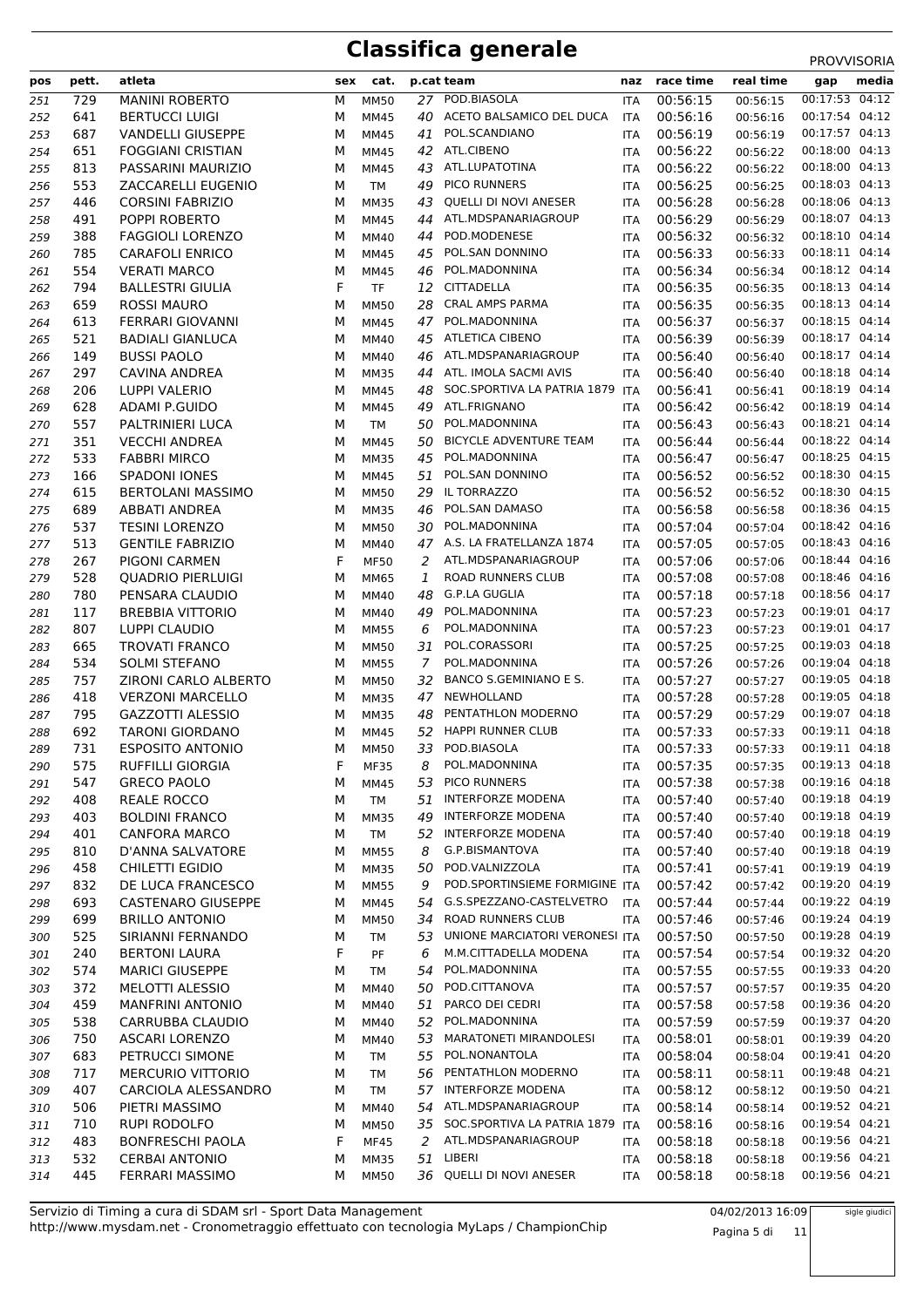| pos        | pett.      | atleta                                    | sex    | cat.                       |          | p.cat team                       | naz                      | race time            | real time            | media<br>gap                     |  |
|------------|------------|-------------------------------------------|--------|----------------------------|----------|----------------------------------|--------------------------|----------------------|----------------------|----------------------------------|--|
| 251        | 729        | <b>MANINI ROBERTO</b>                     | М      | <b>MM50</b>                | 27       | POD.BIASOLA                      | <b>ITA</b>               | 00:56:15             | 00:56:15             | 00:17:53 04:12                   |  |
| 252        | 641        | <b>BERTUCCI LUIGI</b>                     | М      | <b>MM45</b>                | 40       | ACETO BALSAMICO DEL DUCA         | <b>ITA</b>               | 00:56:16             | 00:56:16             | 00:17:54 04:12                   |  |
| 253        | 687        | <b>VANDELLI GIUSEPPE</b>                  | м      | MM45                       | 41       | POL.SCANDIANO                    | ITA                      | 00:56:19             | 00:56:19             | 00:17:57 04:13                   |  |
| 254        | 651        | <b>FOGGIANI CRISTIAN</b>                  | М      | MM45                       | 42       | ATL.CIBENO                       | ITA                      | 00:56:22             | 00:56:22             | 00:18:00 04:13                   |  |
| 255        | 813        | PASSARINI MAURIZIO                        | М      | MM45                       | 43       | ATL.LUPATOTINA                   | <b>ITA</b>               | 00:56:22             | 00:56:22             | 00:18:00 04:13                   |  |
| 256        | 553        | ZACCARELLI EUGENIO                        | М      | <b>TM</b>                  | 49       | <b>PICO RUNNERS</b>              | <b>ITA</b>               | 00:56:25             | 00:56:25             | 00:18:03 04:13                   |  |
| 257        | 446        | <b>CORSINI FABRIZIO</b>                   | М      | <b>MM35</b>                | 43       | QUELLI DI NOVI ANESER            | ITA                      | 00:56:28             | 00:56:28             | 00:18:06 04:13                   |  |
| 258        | 491        | POPPI ROBERTO                             | М      | <b>MM45</b>                | 44       | ATL.MDSPANARIAGROUP              | ITA                      | 00:56:29             | 00:56:29             | 00:18:07 04:13                   |  |
| 259        | 388        | <b>FAGGIOLI LORENZO</b>                   | М      | <b>MM40</b>                | 44       | POD.MODENESE                     | ITA                      | 00:56:32             | 00:56:32             | 00:18:10 04:14                   |  |
| 260        | 785        | <b>CARAFOLI ENRICO</b>                    | М      | MM45                       | 45       | POL.SAN DONNINO                  | ITA                      | 00:56:33             | 00:56:33             | 00:18:11 04:14                   |  |
| 261        | 554        | <b>VERATI MARCO</b>                       | М      | MM45                       | 46       | POL.MADONNINA                    | <b>ITA</b>               | 00:56:34             | 00:56:34             | 00:18:12 04:14                   |  |
| 262        | 794        | <b>BALLESTRI GIULIA</b>                   | F      | <b>TF</b>                  | 12       | CITTADELLA                       | ITA                      | 00:56:35             | 00:56:35             | 00:18:13 04:14                   |  |
| 263        | 659        | <b>ROSSI MAURO</b>                        | М      | <b>MM50</b>                | 28       | <b>CRAL AMPS PARMA</b>           | ITA                      | 00:56:35             | 00:56:35             | 00:18:13 04:14                   |  |
| 264        | 613        | FERRARI GIOVANNI                          | М      | <b>MM45</b>                | 47       | POL.MADONNINA                    | <b>ITA</b>               | 00:56:37             | 00:56:37             | 00:18:15 04:14                   |  |
| 265        | 521        | <b>BADIALI GIANLUCA</b>                   | м      | <b>MM40</b>                | 45       | <b>ATLETICA CIBENO</b>           | ITA                      | 00:56:39             | 00:56:39             | 00:18:17 04:14                   |  |
| 266        | 149        | <b>BUSSI PAOLO</b>                        | М      | MM40                       | 46       | ATL.MDSPANARIAGROUP              | ITA                      | 00:56:40             | 00:56:40             | 00:18:17 04:14                   |  |
| 267        | 297        | CAVINA ANDREA                             | М      | <b>MM35</b>                | 44       | ATL. IMOLA SACMI AVIS            | <b>ITA</b>               | 00:56:40             | 00:56:40             | 00:18:18 04:14                   |  |
| 268        | 206        | <b>LUPPI VALERIO</b>                      | М      | MM45                       | 48       | SOC.SPORTIVA LA PATRIA 1879      | ITA                      | 00:56:41             | 00:56:41             | 00:18:19 04:14                   |  |
| 269        | 628        | <b>ADAMI P.GUIDO</b>                      | М      | MM45                       | 49       | ATL.FRIGNANO<br>POL.MADONNINA    | ITA                      | 00:56:42             | 00:56:42             | 00:18:19 04:14                   |  |
| 270        | 557        | PALTRINIERI LUCA<br><b>VECCHI ANDREA</b>  | М      | <b>TM</b>                  | 50       | <b>BICYCLE ADVENTURE TEAM</b>    | <b>ITA</b>               | 00:56:43             | 00:56:43             | 00:18:21 04:14<br>00:18:22 04:14 |  |
| 271        | 351<br>533 | <b>FABBRI MIRCO</b>                       | М      | <b>MM45</b>                | 50<br>45 | POL.MADONNINA                    | <b>ITA</b>               | 00:56:44<br>00:56:47 | 00:56:44             | 00:18:25 04:15                   |  |
| 272        | 166        | <b>SPADONI IONES</b>                      | М<br>М | <b>MM35</b>                | 51       | POL.SAN DONNINO                  | ITA                      | 00:56:52             | 00:56:47             | 00:18:30 04:15                   |  |
| 273<br>274 | 615        | <b>BERTOLANI MASSIMO</b>                  | М      | <b>MM45</b>                | 29       | IL TORRAZZO                      | <b>ITA</b>               | 00:56:52             | 00:56:52             | 00:18:30 04:15                   |  |
| 275        | 689        | <b>ABBATI ANDREA</b>                      | М      | <b>MM50</b><br><b>MM35</b> | 46       | POL.SAN DAMASO                   | ITA<br>ITA               | 00:56:58             | 00:56:52<br>00:56:58 | 00:18:36 04:15                   |  |
| 276        | 537        | <b>TESINI LORENZO</b>                     | М      | <b>MM50</b>                | 30       | POL.MADONNINA                    | <b>ITA</b>               | 00:57:04             | 00:57:04             | 00:18:42 04:16                   |  |
| 277        | 513        | <b>GENTILE FABRIZIO</b>                   | М      | <b>MM40</b>                |          | 47 A.S. LA FRATELLANZA 1874      | <b>ITA</b>               | 00:57:05             | 00:57:05             | 00:18:43 04:16                   |  |
| 278        | 267        | PIGONI CARMEN                             | F      | <b>MF50</b>                | 2        | ATL.MDSPANARIAGROUP              | ITA                      | 00:57:06             | 00:57:06             | 00:18:44 04:16                   |  |
| 279        | 528        | <b>QUADRIO PIERLUIGI</b>                  | М      | MM65                       | 1        | <b>ROAD RUNNERS CLUB</b>         | <b>ITA</b>               | 00:57:08             | 00:57:08             | 00:18:46 04:16                   |  |
| 280        | 780        | PENSARA CLAUDIO                           | М      | MM40                       | 48       | <b>G.P.LA GUGLIA</b>             | ITA                      | 00:57:18             | 00:57:18             | 00:18:56 04:17                   |  |
| 281        | 117        | <b>BREBBIA VITTORIO</b>                   | М      | MM40                       | 49       | POL.MADONNINA                    | ITA                      | 00:57:23             | 00:57:23             | 00:19:01 04:17                   |  |
| 282        | 807        | LUPPI CLAUDIO                             | М      | <b>MM55</b>                | 6        | POL.MADONNINA                    | <b>ITA</b>               | 00:57:23             | 00:57:23             | 00:19:01 04:17                   |  |
| 283        | 665        | <b>TROVATI FRANCO</b>                     | М      | <b>MM50</b>                | 31       | POL.CORASSORI                    | ITA                      | 00:57:25             | 00:57:25             | 00:19:03 04:18                   |  |
| 284        | 534        | <b>SOLMI STEFANO</b>                      | М      | <b>MM55</b>                | 7        | POL.MADONNINA                    | ITA                      | 00:57:26             | 00:57:26             | 00:19:04 04:18                   |  |
| 285        | 757        | <b>ZIRONI CARLO ALBERTO</b>               | М      | <b>MM50</b>                | 32       | BANCO S.GEMINIANO E S.           | <b>ITA</b>               | 00:57:27             | 00:57:27             | 00:19:05 04:18                   |  |
| 286        | 418        | <b>VERZONI MARCELLO</b>                   | м      | <b>MM35</b>                | 47       | NEWHOLLAND                       | ITA                      | 00:57:28             | 00:57:28             | 00:19:05 04:18                   |  |
| 287        | 795        | GAZZOTTI ALESSIO                          | М      | <b>MM35</b>                | 48       | PENTATHLON MODERNO               | ITA                      | 00:57:29             | 00:57:29             | 00:19:07 04:18                   |  |
| 288        | 692        | <b>TARONI GIORDANO</b>                    | М      | <b>MM45</b>                | 52       | <b>HAPPI RUNNER CLUB</b>         | <b>ITA</b>               | 00:57:33             | 00:57:33             | 00:19:11 04:18                   |  |
| 289        | 731        | <b>ESPOSITO ANTONIO</b>                   | м      | <b>MM50</b>                | 33       | POD.BIASOLA                      | <b>ITA</b>               | 00:57:33             | 00:57:33             | 00:19:11 04:18                   |  |
| 290        | 575        | RUFFILLI GIORGIA                          | F      | <b>MF35</b>                | 8        | POL.MADONNINA                    | ITA                      | 00:57:35             | 00:57:35             | 00:19:13 04:18                   |  |
| 291        | 547        | <b>GRECO PAOLO</b>                        | М      | <b>MM45</b>                | 53       | PICO RUNNERS                     | <b>ITA</b>               | 00:57:38             | 00:57:38             | 00:19:16 04:18                   |  |
| 292        | 408        | <b>REALE ROCCO</b>                        | М      | <b>TM</b>                  | 51       | <b>INTERFORZE MODENA</b>         | ITA                      | 00:57:40             | 00:57:40             | 00:19:18 04:19                   |  |
| 293        | 403        | <b>BOLDINI FRANCO</b>                     | М      | <b>MM35</b>                | 49       | <b>INTERFORZE MODENA</b>         | <b>ITA</b>               | 00:57:40             | 00:57:40             | 00:19:18 04:19                   |  |
| 294        | 401        | <b>CANFORA MARCO</b>                      | М      | <b>TM</b>                  | 52       | INTERFORZE MODENA                | <b>ITA</b>               | 00:57:40             | 00:57:40             | 00:19:18 04:19                   |  |
| 295        | 810        | D'ANNA SALVATORE                          | М      | <b>MM55</b>                | 8        | G.P.BISMANTOVA                   | <b>ITA</b>               | 00:57:40             | 00:57:40             | 00:19:18 04:19                   |  |
| 296        | 458        | CHILETTI EGIDIO                           | М      | MM35                       | 50       | POD.VALNIZZOLA                   | <b>ITA</b>               | 00:57:41             | 00:57:41             | 00:19:19 04:19                   |  |
| 297        | 832        | DE LUCA FRANCESCO                         | М      | <b>MM55</b>                | 9        | POD.SPORTINSIEME FORMIGINE ITA   |                          | 00:57:42             | 00:57:42             | 00:19:20 04:19                   |  |
| 298        | 693        | <b>CASTENARO GIUSEPPE</b>                 | М      | MM45                       | 54       | G.S.SPEZZANO-CASTELVETRO         | <b>ITA</b>               | 00:57:44             | 00:57:44             | 00:19:22 04:19                   |  |
| 299        | 699        | <b>BRILLO ANTONIO</b>                     | М      | <b>MM50</b>                | 34       | ROAD RUNNERS CLUB                | ITA                      | 00:57:46             | 00:57:46             | 00:19:24 04:19                   |  |
| 300        | 525        | SIRIANNI FERNANDO                         | М      | TM                         | 53       | UNIONE MARCIATORI VERONESI ITA   |                          | 00:57:50             | 00:57:50             | 00:19:28 04:19                   |  |
| 301        | 240        | <b>BERTONI LAURA</b>                      | F      | PF                         | 6        | M.M.CITTADELLA MODENA            | <b>ITA</b>               | 00:57:54             | 00:57:54             | 00:19:32 04:20                   |  |
| 302        | 574        | <b>MARICI GIUSEPPE</b>                    | М      | TM                         | 54       | POL.MADONNINA                    | ITA                      | 00:57:55             | 00:57:55             | 00:19:33 04:20                   |  |
| 303        | 372        | MELOTTI ALESSIO                           | М      | MM40                       | 50       | POD.CITTANOVA<br>PARCO DEI CEDRI | ITA                      | 00:57:57             | 00:57:57             | 00:19:35 04:20<br>00:19:36 04:20 |  |
| 304        | 459<br>538 | <b>MANFRINI ANTONIO</b>                   | М      | MM40                       | 51<br>52 | POL.MADONNINA                    | ITA                      | 00:57:58<br>00:57:59 | 00:57:58             | 00:19:37 04:20                   |  |
| 305        | 750        | CARRUBBA CLAUDIO<br><b>ASCARI LORENZO</b> | М<br>М | MM40<br><b>MM40</b>        | 53       | <b>MARATONETI MIRANDOLESI</b>    | ITA                      | 00:58:01             | 00:57:59             | 00:19:39 04:20                   |  |
| 306<br>307 | 683        | PETRUCCI SIMONE                           | М      | TM                         | 55       | POL.NONANTOLA                    | <b>ITA</b><br><b>ITA</b> | 00:58:04             | 00:58:01<br>00:58:04 | 00:19:41 04:20                   |  |
|            | 717        | MERCURIO VITTORIO                         | м      |                            | 56       | PENTATHLON MODERNO               |                          | 00:58:11             |                      | 00:19:48 04:21                   |  |
| 308<br>309 | 407        | CARCIOLA ALESSANDRO                       | м      | TM<br><b>TM</b>            | 57       | INTERFORZE MODENA                | ITA<br>ITA               | 00:58:12             | 00:58:11<br>00:58:12 | 00:19:50 04:21                   |  |
| 310        | 506        | PIETRI MASSIMO                            | М      | <b>MM40</b>                | 54       | ATL.MDSPANARIAGROUP              | ITA                      | 00:58:14             | 00:58:14             | 00:19:52 04:21                   |  |
| 311        | 710        | RUPI RODOLFO                              | М      | <b>MM50</b>                | 35       | SOC.SPORTIVA LA PATRIA 1879      | ITA                      | 00:58:16             | 00:58:16             | 00:19:54 04:21                   |  |
| 312        | 483        | <b>BONFRESCHI PAOLA</b>                   | F      | <b>MF45</b>                | 2        | ATL.MDSPANARIAGROUP              | ITA                      | 00:58:18             | 00:58:18             | 00:19:56 04:21                   |  |
| 313        | 532        | <b>CERBAI ANTONIO</b>                     | М      | MM35                       |          | 51 LIBERI                        | ITA                      | 00:58:18             | 00:58:18             | 00:19:56 04:21                   |  |
| 314        | 445        | <b>FERRARI MASSIMO</b>                    | М      | <b>MM50</b>                |          | 36 QUELLI DI NOVI ANESER         | ITA                      | 00:58:18             | 00:58:18             | 00:19:56 04:21                   |  |
|            |            |                                           |        |                            |          |                                  |                          |                      |                      |                                  |  |

http://www.mysdam.net - Cronometraggio effettuato con tecnologia MyLaps / ChampionChip Servizio di Timing a cura di SDAM srl - Sport Data Management 04/02/2013 16:09

Pagina 5 di 11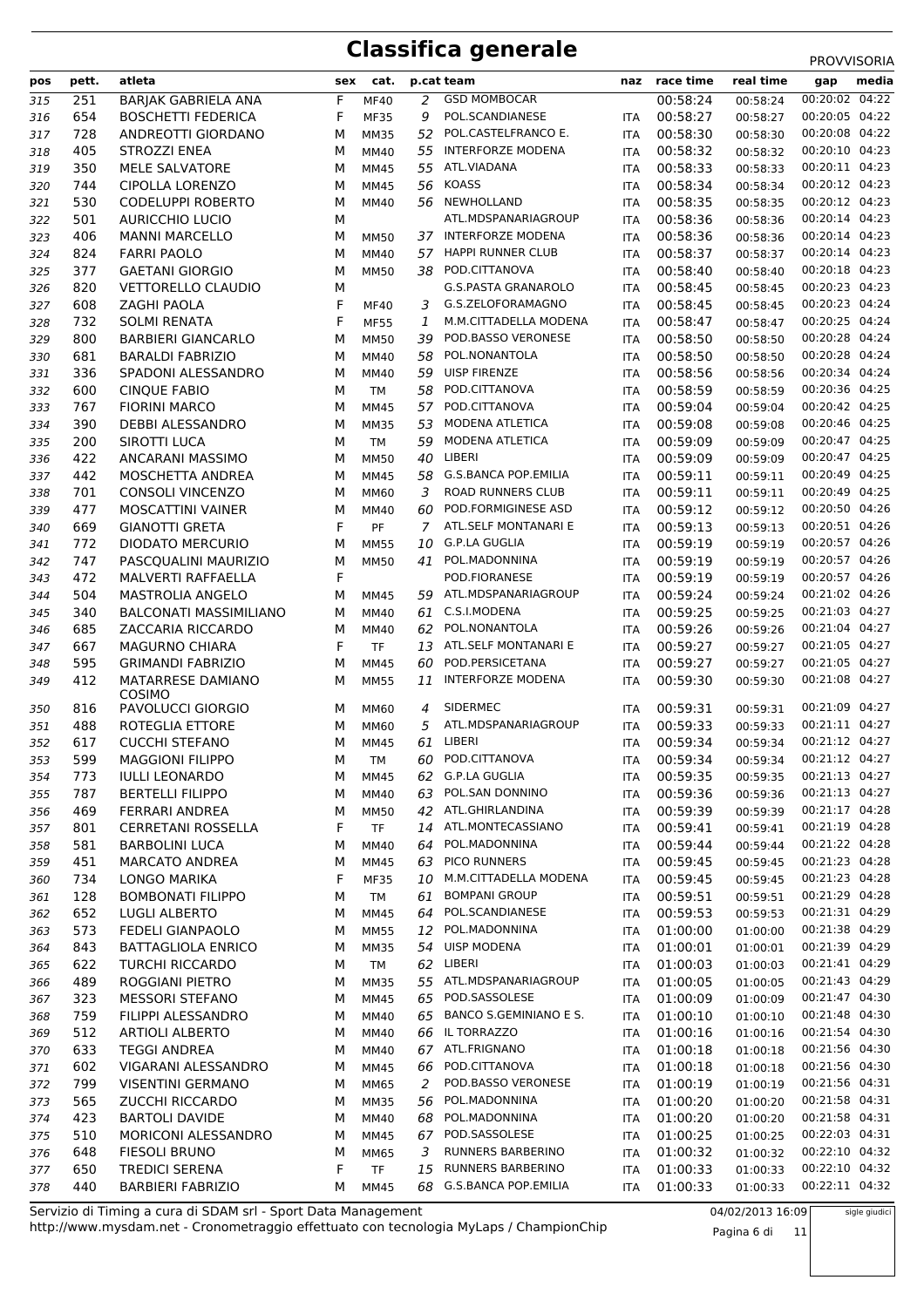| pos | pett. | atleta                             | sex | cat.        |    | p.cat team                  |            | naz race time | real time | gap            | media |
|-----|-------|------------------------------------|-----|-------------|----|-----------------------------|------------|---------------|-----------|----------------|-------|
| 315 | 251   | <b>BARJAK GABRIELA ANA</b>         | F   | <b>MF40</b> | 2  | <b>GSD MOMBOCAR</b>         |            | 00:58:24      | 00:58:24  | 00:20:02 04:22 |       |
| 316 | 654   | <b>BOSCHETTI FEDERICA</b>          | F   | <b>MF35</b> | 9  | POL.SCANDIANESE             | <b>ITA</b> | 00:58:27      | 00:58:27  | 00:20:05 04:22 |       |
| 317 | 728   | ANDREOTTI GIORDANO                 | M   | <b>MM35</b> | 52 | POL.CASTELFRANCO E.         | <b>ITA</b> | 00:58:30      | 00:58:30  | 00:20:08 04:22 |       |
| 318 | 405   | STROZZI ENEA                       | M   | MM40        | 55 | <b>INTERFORZE MODENA</b>    | <b>ITA</b> | 00:58:32      | 00:58:32  | 00:20:10 04:23 |       |
| 319 | 350   | MELE SALVATORE                     | M   | <b>MM45</b> | 55 | ATL.VIADANA                 | <b>ITA</b> | 00:58:33      | 00:58:33  | 00:20:11 04:23 |       |
| 320 | 744   | <b>CIPOLLA LORENZO</b>             | M   | <b>MM45</b> | 56 | <b>KOASS</b>                | <b>ITA</b> | 00:58:34      | 00:58:34  | 00:20:12 04:23 |       |
| 321 | 530   | <b>CODELUPPI ROBERTO</b>           | М   | <b>MM40</b> | 56 | NEWHOLLAND                  | <b>ITA</b> | 00:58:35      | 00:58:35  | 00:20:12 04:23 |       |
| 322 | 501   | <b>AURICCHIO LUCIO</b>             | М   |             |    | ATL.MDSPANARIAGROUP         | <b>ITA</b> | 00:58:36      | 00:58:36  | 00:20:14 04:23 |       |
| 323 | 406   | <b>MANNI MARCELLO</b>              | М   | <b>MM50</b> | 37 | INTERFORZE MODENA           | <b>ITA</b> | 00:58:36      | 00:58:36  | 00:20:14 04:23 |       |
| 324 | 824   | <b>FARRI PAOLO</b>                 | M   | MM40        | 57 | <b>HAPPI RUNNER CLUB</b>    | <b>ITA</b> | 00:58:37      | 00:58:37  | 00:20:14 04:23 |       |
| 325 | 377   | <b>GAETANI GIORGIO</b>             | M   | <b>MM50</b> |    | 38 POD.CITTANOVA            | <b>ITA</b> | 00:58:40      | 00:58:40  | 00:20:18 04:23 |       |
| 326 | 820   | <b>VETTORELLO CLAUDIO</b>          | М   |             |    | <b>G.S.PASTA GRANAROLO</b>  | <b>ITA</b> | 00:58:45      | 00:58:45  | 00:20:23 04:23 |       |
| 327 | 608   | <b>ZAGHI PAOLA</b>                 | F   | MF40        | 3  | G.S.ZELOFORAMAGNO           | <b>ITA</b> | 00:58:45      | 00:58:45  | 00:20:23 04:24 |       |
| 328 | 732   | <b>SOLMI RENATA</b>                | F   | <b>MF55</b> | 1  | M.M.CITTADELLA MODENA       | <b>ITA</b> | 00:58:47      | 00:58:47  | 00:20:25 04:24 |       |
| 329 | 800   | <b>BARBIERI GIANCARLO</b>          | M   | <b>MM50</b> | 39 | POD.BASSO VERONESE          | <b>ITA</b> | 00:58:50      | 00:58:50  | 00:20:28 04:24 |       |
| 330 | 681   | <b>BARALDI FABRIZIO</b>            | M   | MM40        | 58 | POL.NONANTOLA               | ITA        | 00:58:50      | 00:58:50  | 00:20:28 04:24 |       |
| 331 | 336   | SPADONI ALESSANDRO                 | M   | MM40        | 59 | <b>UISP FIRENZE</b>         | <b>ITA</b> | 00:58:56      | 00:58:56  | 00:20:34 04:24 |       |
| 332 | 600   | <b>CINQUE FABIO</b>                | M   | <b>TM</b>   | 58 | POD.CITTANOVA               | <b>ITA</b> | 00:58:59      | 00:58:59  | 00:20:36 04:25 |       |
| 333 | 767   | <b>FIORINI MARCO</b>               | M   | <b>MM45</b> | 57 | POD.CITTANOVA               | <b>ITA</b> | 00:59:04      | 00:59:04  | 00:20:42 04:25 |       |
| 334 | 390   | <b>DEBBI ALESSANDRO</b>            | М   | <b>MM35</b> | 53 | MODENA ATLETICA             | <b>ITA</b> | 00:59:08      | 00:59:08  | 00:20:46 04:25 |       |
| 335 | 200   | <b>SIROTTI LUCA</b>                | M   | <b>TM</b>   | 59 | MODENA ATLETICA             | <b>ITA</b> | 00:59:09      | 00:59:09  | 00:20:47 04:25 |       |
| 336 | 422   | ANCARANI MASSIMO                   | M   | <b>MM50</b> | 40 | LIBERI                      | <b>ITA</b> | 00:59:09      | 00:59:09  | 00:20:47 04:25 |       |
| 337 | 442   | MOSCHETTA ANDREA                   | M   | <b>MM45</b> | 58 | <b>G.S.BANCA POP.EMILIA</b> | <b>ITA</b> | 00:59:11      | 00:59:11  | 00:20:49 04:25 |       |
| 338 | 701   | <b>CONSOLI VINCENZO</b>            | M   | MM60        | 3  | ROAD RUNNERS CLUB           | <b>ITA</b> | 00:59:11      | 00:59:11  | 00:20:49 04:25 |       |
| 339 | 477   | <b>MOSCATTINI VAINER</b>           | M   | MM40        | 60 | POD.FORMIGINESE ASD         | <b>ITA</b> | 00:59:12      | 00:59:12  | 00:20:50 04:26 |       |
| 340 | 669   | <b>GIANOTTI GRETA</b>              | F   | PF          | 7  | ATL.SELF MONTANARI E        | <b>ITA</b> | 00:59:13      | 00:59:13  | 00:20:51 04:26 |       |
| 341 | 772   | <b>DIODATO MERCURIO</b>            | М   | <b>MM55</b> | 10 | G.P.LA GUGLIA               | <b>ITA</b> | 00:59:19      | 00:59:19  | 00:20:57 04:26 |       |
| 342 | 747   | PASCQUALINI MAURIZIO               | M   | <b>MM50</b> | 41 | POL.MADONNINA               | ITA        | 00:59:19      | 00:59:19  | 00:20:57 04:26 |       |
| 343 | 472   | MALVERTI RAFFAELLA                 | F   |             |    | POD.FIORANESE               | <b>ITA</b> | 00:59:19      | 00:59:19  | 00:20:57 04:26 |       |
| 344 | 504   | <b>MASTROLIA ANGELO</b>            | M   | <b>MM45</b> | 59 | ATL.MDSPANARIAGROUP         | <b>ITA</b> | 00:59:24      | 00:59:24  | 00:21:02 04:26 |       |
| 345 | 340   | <b>BALCONATI MASSIMILIANO</b>      | M   | MM40        | 61 | C.S.I.MODENA                | <b>ITA</b> | 00:59:25      | 00:59:25  | 00:21:03 04:27 |       |
| 346 | 685   | ZACCARIA RICCARDO                  | М   | MM40        | 62 | POL.NONANTOLA               | <b>ITA</b> | 00:59:26      | 00:59:26  | 00:21:04 04:27 |       |
| 347 | 667   | <b>MAGURNO CHIARA</b>              | F   | <b>TF</b>   | 13 | ATL.SELF MONTANARI E        | <b>ITA</b> | 00:59:27      | 00:59:27  | 00:21:05 04:27 |       |
| 348 | 595   | <b>GRIMANDI FABRIZIO</b>           | M   | <b>MM45</b> | 60 | POD.PERSICETANA             | <b>ITA</b> | 00:59:27      | 00:59:27  | 00:21:05 04:27 |       |
| 349 | 412   | <b>MATARRESE DAMIANO</b><br>COSIMO | M   | <b>MM55</b> | 11 | <b>INTERFORZE MODENA</b>    | <b>ITA</b> | 00:59:30      | 00:59:30  | 00:21:08 04:27 |       |
| 350 | 816   | PAVOLUCCI GIORGIO                  | М   | <b>MM60</b> | 4  | SIDERMEC                    | <b>ITA</b> | 00:59:31      | 00:59:31  | 00:21:09 04:27 |       |
| 351 | 488   | ROTEGLIA ETTORE                    | M   | MM60        | 5  | ATL.MDSPANARIAGROUP         | <b>ITA</b> | 00:59:33      | 00:59:33  | 00:21:11 04:27 |       |
| 352 | 617   | <b>CUCCHI STEFANO</b>              | M   | <b>MM45</b> | 61 | LIBERI                      | <b>ITA</b> | 00:59:34      | 00:59:34  | 00:21:12 04:27 |       |
| 353 | 599   | <b>MAGGIONI FILIPPO</b>            | М   | <b>TM</b>   | 60 | POD.CITTANOVA               | <b>ITA</b> | 00:59:34      | 00:59:34  | 00:21:12 04:27 |       |
| 354 | 773   | <b>IULLI LEONARDO</b>              | М   | <b>MM45</b> | 62 | <b>G.P.LA GUGLIA</b>        | ITA        | 00:59:35      | 00:59:35  | 00:21:13 04:27 |       |
| 355 | 787   | <b>BERTELLI FILIPPO</b>            | М   | <b>MM40</b> | 63 | POL.SAN DONNINO             | ITA        | 00:59:36      | 00:59:36  | 00:21:13 04:27 |       |
| 356 | 469   | FERRARI ANDREA                     | м   | <b>MM50</b> | 42 | ATL.GHIRLANDINA             | ITA        | 00:59:39      | 00:59:39  | 00:21:17 04:28 |       |
| 357 | 801   | <b>CERRETANI ROSSELLA</b>          | F   | TF          | 14 | ATL.MONTECASSIANO           | <b>ITA</b> | 00:59:41      | 00:59:41  | 00:21:19 04:28 |       |
| 358 | 581   | <b>BARBOLINI LUCA</b>              | м   | <b>MM40</b> | 64 | POL.MADONNINA               | <b>ITA</b> | 00:59:44      | 00:59:44  | 00:21:22 04:28 |       |
| 359 | 451   | <b>MARCATO ANDREA</b>              | М   | <b>MM45</b> | 63 | PICO RUNNERS                | ITA        | 00:59:45      | 00:59:45  | 00:21:23 04:28 |       |
| 360 | 734   | LONGO MARIKA                       | F   | <b>MF35</b> | 10 | M.M.CITTADELLA MODENA       | ITA        | 00:59:45      | 00:59:45  | 00:21:23 04:28 |       |
| 361 | 128   | <b>BOMBONATI FILIPPO</b>           | М   | TM          | 61 | <b>BOMPANI GROUP</b>        | <b>ITA</b> | 00:59:51      | 00:59:51  | 00:21:29 04:28 |       |
| 362 | 652   | <b>LUGLI ALBERTO</b>               | М   | <b>MM45</b> | 64 | POL.SCANDIANESE             | <b>ITA</b> | 00:59:53      | 00:59:53  | 00:21:31 04:29 |       |
| 363 | 573   | <b>FEDELI GIANPAOLO</b>            | М   | <b>MM55</b> | 12 | POL.MADONNINA               | ITA        | 01:00:00      | 01:00:00  | 00:21:38 04:29 |       |
| 364 | 843   | <b>BATTAGLIOLA ENRICO</b>          | М   | <b>MM35</b> | 54 | <b>UISP MODENA</b>          | <b>ITA</b> | 01:00:01      | 01:00:01  | 00:21:39 04:29 |       |
| 365 | 622   | <b>TURCHI RICCARDO</b>             | М   | <b>TM</b>   |    | 62 LIBERI                   | ITA        | 01:00:03      | 01:00:03  | 00:21:41 04:29 |       |
| 366 | 489   | ROGGIANI PIETRO                    | М   | <b>MM35</b> | 55 | ATL.MDSPANARIAGROUP         | ITA        | 01:00:05      | 01:00:05  | 00:21:43 04:29 |       |
| 367 | 323   | <b>MESSORI STEFANO</b>             | м   | <b>MM45</b> | 65 | POD.SASSOLESE               | ITA        | 01:00:09      | 01:00:09  | 00:21:47 04:30 |       |
| 368 | 759   | FILIPPI ALESSANDRO                 | м   | MM40        | 65 | BANCO S.GEMINIANO E S.      | ITA        | 01:00:10      | 01:00:10  | 00:21:48 04:30 |       |
| 369 | 512   | <b>ARTIOLI ALBERTO</b>             | М   | MM40        | 66 | IL TORRAZZO                 | ITA        | 01:00:16      | 01:00:16  | 00:21:54 04:30 |       |
| 370 | 633   | <b>TEGGI ANDREA</b>                | М   | MM40        | 67 | ATL.FRIGNANO                | <b>ITA</b> | 01:00:18      | 01:00:18  | 00:21:56 04:30 |       |
| 371 | 602   | VIGARANI ALESSANDRO                | М   | <b>MM45</b> | 66 | POD.CITTANOVA               | ITA        | 01:00:18      | 01:00:18  | 00:21:56 04:30 |       |
| 372 | 799   | <b>VISENTINI GERMANO</b>           | М   | <b>MM65</b> | 2  | POD.BASSO VERONESE          | ITA        | 01:00:19      | 01:00:19  | 00:21:56 04:31 |       |
| 373 | 565   | <b>ZUCCHI RICCARDO</b>             | М   | <b>MM35</b> | 56 | POL.MADONNINA               | <b>ITA</b> | 01:00:20      | 01:00:20  | 00:21:58 04:31 |       |
| 374 | 423   | <b>BARTOLI DAVIDE</b>              | M   | MM40        | 68 | POL.MADONNINA               | ITA        | 01:00:20      | 01:00:20  | 00:21:58 04:31 |       |
| 375 | 510   | MORICONI ALESSANDRO                | М   | <b>MM45</b> | 67 | POD.SASSOLESE               | <b>ITA</b> | 01:00:25      | 01:00:25  | 00:22:03 04:31 |       |
| 376 | 648   | <b>FIESOLI BRUNO</b>               | М   | <b>MM65</b> | 3  | RUNNERS BARBERINO           | <b>ITA</b> | 01:00:32      | 01:00:32  | 00:22:10 04:32 |       |
| 377 | 650   | <b>TREDICI SERENA</b>              | F   | <b>TF</b>   | 15 | RUNNERS BARBERINO           | ITA        | 01:00:33      | 01:00:33  | 00:22:10 04:32 |       |
| 378 | 440   | <b>BARBIERI FABRIZIO</b>           | М   | <b>MM45</b> |    | 68 G.S.BANCA POP.EMILIA     | ITA        | 01:00:33      | 01:00:33  | 00:22:11 04:32 |       |

http://www.mysdam.net - Cronometraggio effettuato con tecnologia MyLaps / ChampionChip Servizio di Timing a cura di SDAM srl - Sport Data Management 04/02/2013 16:09

Pagina 6 di 11

sigle giudici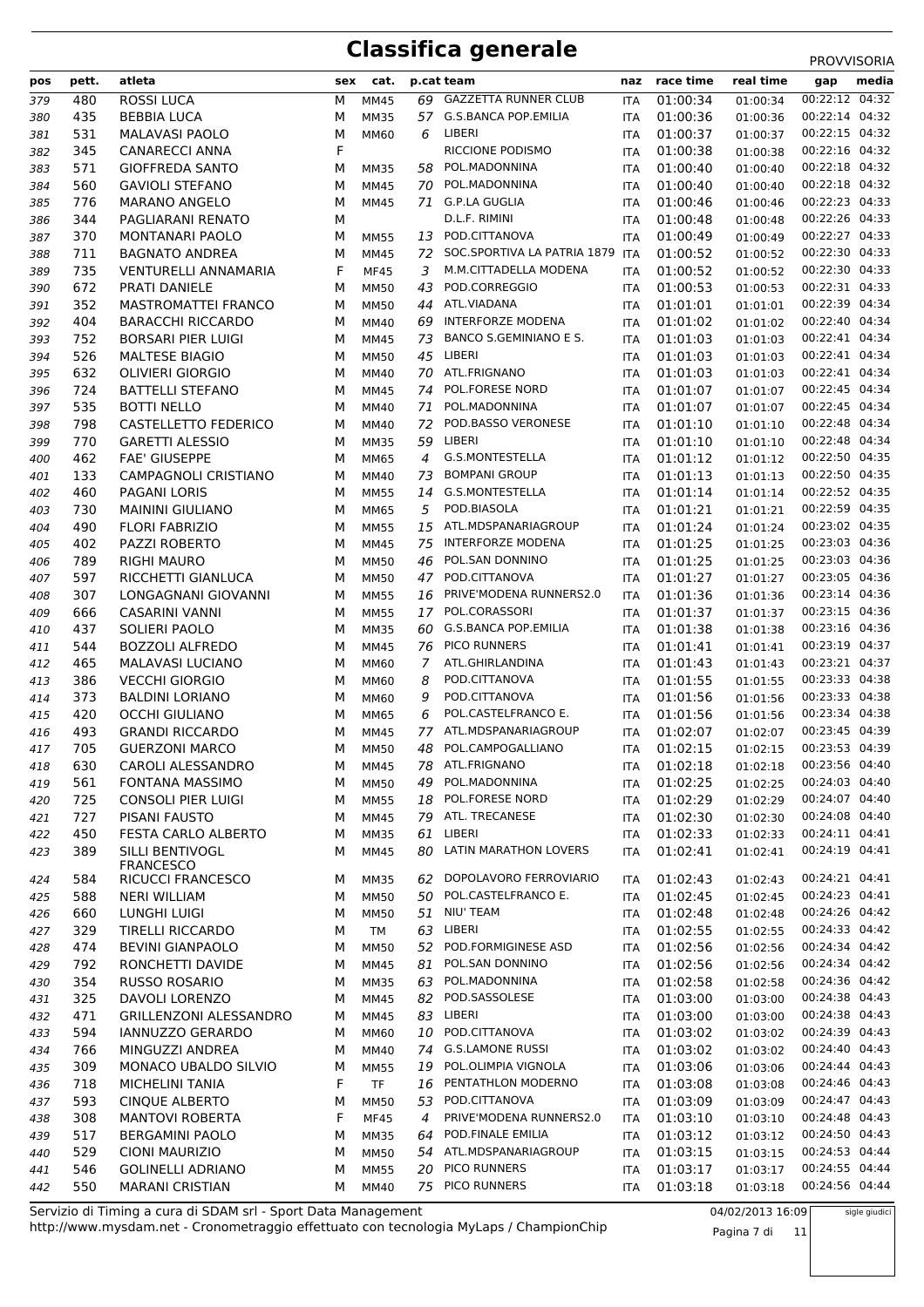| pos        | pett.      | atleta                                               | sex    | cat.                       |        | p.cat team                                      | naz        | race time            | real time            | gap                              | media |
|------------|------------|------------------------------------------------------|--------|----------------------------|--------|-------------------------------------------------|------------|----------------------|----------------------|----------------------------------|-------|
| 379        | 480        | <b>ROSSI LUCA</b>                                    | М      | <b>MM45</b>                | 69     | <b>GAZZETTA RUNNER CLUB</b>                     | <b>ITA</b> | 01:00:34             | 01:00:34             | 00:22:12 04:32                   |       |
| 380        | 435        | <b>BEBBIA LUCA</b>                                   | М      | <b>MM35</b>                |        | 57 G.S.BANCA POP.EMILIA                         | <b>ITA</b> | 01:00:36             | 01:00:36             | 00:22:14 04:32                   |       |
| 381        | 531        | <b>MALAVASI PAOLO</b>                                | М      | <b>MM60</b>                | 6      | LIBERI                                          | <b>ITA</b> | 01:00:37             | 01:00:37             | 00:22:15 04:32                   |       |
| 382        | 345        | <b>CANARECCI ANNA</b>                                | F      |                            |        | RICCIONE PODISMO                                | ITA        | 01:00:38             | 01:00:38             | 00:22:16 04:32                   |       |
| 383        | 571        | <b>GIOFFREDA SANTO</b>                               | М      | <b>MM35</b>                |        | 58 POL.MADONNINA                                | ITA        | 01:00:40             | 01:00:40             | 00:22:18 04:32                   |       |
| 384        | 560        | <b>GAVIOLI STEFANO</b>                               | М      | <b>MM45</b>                | 70     | POL.MADONNINA                                   | <b>ITA</b> | 01:00:40             | 01:00:40             | 00:22:18 04:32                   |       |
| 385        | 776        | <b>MARANO ANGELO</b>                                 | M      | <b>MM45</b>                |        | 71 G.P.LA GUGLIA                                | ITA        | 01:00:46             | 01:00:46             | 00:22:23 04:33                   |       |
| 386        | 344        | PAGLIARANI RENATO                                    | M      |                            |        | D.L.F. RIMINI                                   | ITA        | 01:00:48             | 01:00:48             | 00:22:26 04:33                   |       |
| 387        | 370        | <b>MONTANARI PAOLO</b>                               | М      | <b>MM55</b>                | 13     | POD.CITTANOVA<br>72 SOC.SPORTIVA LA PATRIA 1879 | ITA        | 01:00:49             | 01:00:49             | 00:22:27 04:33<br>00:22:30 04:33 |       |
| 388        | 711<br>735 | <b>BAGNATO ANDREA</b><br><b>VENTURELLI ANNAMARIA</b> | М<br>F | MM45                       | 3      | M.M.CITTADELLA MODENA                           | <b>ITA</b> | 01:00:52<br>01:00:52 | 01:00:52             | 00:22:30 04:33                   |       |
| 389        | 672        | PRATI DANIELE                                        |        | <b>MF45</b>                | 43     | POD.CORREGGIO                                   | ITA        | 01:00:53             | 01:00:52             | 00:22:31 04:33                   |       |
| 390<br>391 | 352        | <b>MASTROMATTEI FRANCO</b>                           | М<br>М | <b>MM50</b><br><b>MM50</b> | 44     | ATL.VIADANA                                     | ITA<br>ITA | 01:01:01             | 01:00:53<br>01:01:01 | 00:22:39 04:34                   |       |
| 392        | 404        | <b>BARACCHI RICCARDO</b>                             | М      | MM40                       | 69     | <b>INTERFORZE MODENA</b>                        | ITA        | 01:01:02             | 01:01:02             | 00:22:40 04:34                   |       |
| 393        | 752        | <b>BORSARI PIER LUIGI</b>                            | М      | MM45                       | 73     | BANCO S.GEMINIANO E S.                          | <b>ITA</b> | 01:01:03             | 01:01:03             | 00:22:41 04:34                   |       |
| 394        | 526        | <b>MALTESE BIAGIO</b>                                | М      | <b>MM50</b>                | 45     | LIBERI                                          | ITA        | 01:01:03             | 01:01:03             | 00:22:41 04:34                   |       |
| 395        | 632        | <b>OLIVIERI GIORGIO</b>                              | М      | MM40                       |        | 70 ATL.FRIGNANO                                 | <b>ITA</b> | 01:01:03             | 01:01:03             | 00:22:41 04:34                   |       |
| 396        | 724        | <b>BATTELLI STEFANO</b>                              | М      | MM45                       | 74     | POL.FORESE NORD                                 | <b>ITA</b> | 01:01:07             | 01:01:07             | 00:22:45 04:34                   |       |
| 397        | 535        | <b>BOTTI NELLO</b>                                   | М      | MM40                       | 71     | POL.MADONNINA                                   | ITA        | 01:01:07             | 01:01:07             | 00:22:45 04:34                   |       |
| 398        | 798        | CASTELLETTO FEDERICO                                 | М      | <b>MM40</b>                | 72     | POD.BASSO VERONESE                              | <b>ITA</b> | 01:01:10             | 01:01:10             | 00:22:48 04:34                   |       |
| 399        | 770        | <b>GARETTI ALESSIO</b>                               | М      | <b>MM35</b>                | 59     | LIBERI                                          | ITA        | 01:01:10             | 01:01:10             | 00:22:48 04:34                   |       |
| 400        | 462        | <b>FAE' GIUSEPPE</b>                                 | М      | MM65                       | 4      | <b>G.S.MONTESTELLA</b>                          | ITA        | 01:01:12             | 01:01:12             | 00:22:50 04:35                   |       |
| 401        | 133        | <b>CAMPAGNOLI CRISTIANO</b>                          | М      | MM40                       | 73     | <b>BOMPANI GROUP</b>                            | <b>ITA</b> | 01:01:13             | 01:01:13             | 00:22:50 04:35                   |       |
| 402        | 460        | <b>PAGANI LORIS</b>                                  | М      | <b>MM55</b>                | 14     | G.S.MONTESTELLA                                 | ITA        | 01:01:14             | 01:01:14             | 00:22:52 04:35                   |       |
| 403        | 730        | <b>MAININI GIULIANO</b>                              | М      | MM65                       | 5      | POD.BIASOLA                                     | ITA        | 01:01:21             | 01:01:21             | 00:22:59 04:35                   |       |
| 404        | 490        | <b>FLORI FABRIZIO</b>                                | М      | <b>MM55</b>                | 15     | ATL.MDSPANARIAGROUP                             | <b>ITA</b> | 01:01:24             | 01:01:24             | 00:23:02 04:35                   |       |
| 405        | 402        | PAZZI ROBERTO                                        | М      | <b>MM45</b>                | 75     | <b>INTERFORZE MODENA</b>                        | <b>ITA</b> | 01:01:25             | 01:01:25             | 00:23:03 04:36                   |       |
| 406        | 789        | <b>RIGHI MAURO</b>                                   | М      | <b>MM50</b>                | 46     | POL.SAN DONNINO                                 | ITA        | 01:01:25             | 01:01:25             | 00:23:03 04:36                   |       |
| 407        | 597        | RICCHETTI GIANLUCA                                   | М      | <b>MM50</b>                |        | 47 POD.CITTANOVA                                | <b>ITA</b> | 01:01:27             | 01:01:27             | 00:23:05 04:36                   |       |
| 408        | 307        | LONGAGNANI GIOVANNI                                  | М      | <b>MM55</b>                | 16     | PRIVE'MODENA RUNNERS2.0                         | ITA        | 01:01:36             | 01:01:36             | 00:23:14 04:36                   |       |
| 409        | 666        | <b>CASARINI VANNI</b>                                | М      | <b>MM55</b>                | 17     | POL.CORASSORI                                   | ITA        | 01:01:37             | 01:01:37             | 00:23:15 04:36                   |       |
| 410        | 437        | SOLIERI PAOLO                                        | М      | <b>MM35</b>                | 60     | <b>G.S.BANCA POP.EMILIA</b>                     | <b>ITA</b> | 01:01:38             | 01:01:38             | 00:23:16 04:36                   |       |
| 411        | 544        | <b>BOZZOLI ALFREDO</b>                               | М      | <b>MM45</b>                | 76     | PICO RUNNERS                                    | ITA        | 01:01:41             | 01:01:41             | 00:23:19 04:37                   |       |
| 412        | 465        | MALAVASI LUCIANO<br><b>VECCHI GIORGIO</b>            | М      | <b>MM60</b>                | 7      | ATL.GHIRLANDINA<br>POD.CITTANOVA                | ITA        | 01:01:43             | 01:01:43             | 00:23:21 04:37<br>00:23:33 04:38 |       |
| 413        | 386<br>373 |                                                      | М<br>М | <b>MM60</b>                | 8<br>9 | POD.CITTANOVA                                   | <b>ITA</b> | 01:01:55<br>01:01:56 | 01:01:55             | 00:23:33 04:38                   |       |
| 414<br>415 | 420        | <b>BALDINI LORIANO</b><br><b>OCCHI GIULIANO</b>      | М      | MM60<br>MM65               | 6      | POL.CASTELFRANCO E.                             | ITA<br>ITA | 01:01:56             | 01:01:56<br>01:01:56 | 00:23:34 04:38                   |       |
| 416        | 493        | <b>GRANDI RICCARDO</b>                               | М      | <b>MM45</b>                | 77     | ATL.MDSPANARIAGROUP                             | <b>ITA</b> | 01:02:07             | 01:02:07             | 00:23:45 04:39                   |       |
| 417        | 705        | <b>GUERZONI MARCO</b>                                | м      | <b>MM50</b>                | 48     | POL.CAMPOGALLIANO                               | <b>ITA</b> | 01:02:15             | 01:02:15             | 00:23:53 04:39                   |       |
| 418        | 630        | CAROLI ALESSANDRO                                    | М      | MM45                       | 78     | ATL.FRIGNANO                                    | ITA        | 01:02:18             | 01:02:18             | 00:23:56 04:40                   |       |
| 419        | 561        | FONTANA MASSIMO                                      | М      | <b>MM50</b>                |        | 49 POL.MADONNINA                                | ITA        | 01:02:25             | 01:02:25             | 00:24:03 04:40                   |       |
| 420        | 725        | CONSOLI PIER LUIGI                                   | м      | <b>MM55</b>                | 18     | POL.FORESE NORD                                 | ITA        | 01:02:29             | 01:02:29             | 00:24:07 04:40                   |       |
| 421        | 727        | PISANI FAUSTO                                        | м      | MM45                       |        | 79 ATL. TRECANESE                               | ITA        | 01:02:30             | 01:02:30             | 00:24:08 04:40                   |       |
| 422        | 450        | FESTA CARLO ALBERTO                                  | м      | <b>MM35</b>                |        | 61 LIBERI                                       | ITA        | 01:02:33             | 01:02:33             | 00:24:11 04:41                   |       |
| 423        | 389        | SILLI BENTIVOGL                                      | м      | <b>MM45</b>                |        | 80 LATIN MARATHON LOVERS                        | ITA        | 01:02:41             | 01:02:41             | 00:24:19 04:41                   |       |
|            |            | <b>FRANCESCO</b>                                     |        |                            |        |                                                 |            |                      |                      |                                  |       |
| 424        | 584        | RICUCCI FRANCESCO                                    | М      | <b>MM35</b>                | 62     | DOPOLAVORO FERROVIARIO                          | ITA        | 01:02:43             | 01:02:43             | 00:24:21 04:41                   |       |
| 425        | 588        | NERI WILLIAM                                         | М      | <b>MM50</b>                | 50     | POL.CASTELFRANCO E.<br>51 NIU' TEAM             | ITA        | 01:02:45             | 01:02:45             | 00:24:23 04:41<br>00:24:26 04:42 |       |
| 426        | 660<br>329 | LUNGHI LUIGI<br><b>TIRELLI RICCARDO</b>              | М      | <b>MM50</b><br><b>TM</b>   | 63     | LIBERI                                          | ITA        | 01:02:48<br>01:02:55 | 01:02:48             | 00:24:33 04:42                   |       |
| 427<br>428 | 474        | <b>BEVINI GIANPAOLO</b>                              | м<br>м | <b>MM50</b>                | 52     | POD.FORMIGINESE ASD                             | ITA<br>ITA | 01:02:56             | 01:02:55<br>01:02:56 | 00:24:34 04:42                   |       |
| 429        | 792        | RONCHETTI DAVIDE                                     | м      | <b>MM45</b>                | 81     | POL.SAN DONNINO                                 | ITA        | 01:02:56             | 01:02:56             | 00:24:34 04:42                   |       |
| 430        | 354        | <b>RUSSO ROSARIO</b>                                 | м      | <b>MM35</b>                | 63     | POL.MADONNINA                                   | ITA        | 01:02:58             | 01:02:58             | 00:24:36 04:42                   |       |
| 431        | 325        | DAVOLI LORENZO                                       | М      | MM45                       | 82     | POD.SASSOLESE                                   | ITA        | 01:03:00             | 01:03:00             | 00:24:38 04:43                   |       |
| 432        | 471        | <b>GRILLENZONI ALESSANDRO</b>                        | м      | MM45                       |        | 83 LIBERI                                       | ITA        | 01:03:00             | 01:03:00             | 00:24:38 04:43                   |       |
| 433        | 594        | IANNUZZO GERARDO                                     | м      | <b>MM60</b>                | 10     | POD.CITTANOVA                                   | ITA        | 01:03:02             | 01:03:02             | 00:24:39 04:43                   |       |
| 434        | 766        | MINGUZZI ANDREA                                      | м      | <b>MM40</b>                | 74     | <b>G.S.LAMONE RUSSI</b>                         | ITA        | 01:03:02             | 01:03:02             | 00:24:40 04:43                   |       |
| 435        | 309        | MONACO UBALDO SILVIO                                 | М      | <b>MM55</b>                | 19     | POL.OLIMPIA VIGNOLA                             | ITA        | 01:03:06             | 01:03:06             | 00:24:44 04:43                   |       |
| 436        | 718        | MICHELINI TANIA                                      | F      | <b>TF</b>                  | 16     | PENTATHLON MODERNO                              | ITA        | 01:03:08             | 01:03:08             | 00:24:46 04:43                   |       |
| 437        | 593        | <b>CINQUE ALBERTO</b>                                | М      | <b>MM50</b>                | 53     | POD.CITTANOVA                                   | ITA        | 01:03:09             | 01:03:09             | 00:24:47 04:43                   |       |
| 438        | 308        | <b>MANTOVI ROBERTA</b>                               | F      | <b>MF45</b>                | 4      | PRIVE'MODENA RUNNERS2.0                         | ITA        | 01:03:10             | 01:03:10             | 00:24:48 04:43                   |       |
| 439        | 517        | <b>BERGAMINI PAOLO</b>                               | м      | <b>MM35</b>                | 64     | POD.FINALE EMILIA                               | ITA        | 01:03:12             | 01:03:12             | 00:24:50 04:43                   |       |
| 440        | 529        | CIONI MAURIZIO                                       | м      | <b>MM50</b>                | 54     | ATL.MDSPANARIAGROUP                             | ITA        | 01:03:15             | 01:03:15             | 00:24:53 04:44                   |       |
| 441        | 546        | <b>GOLINELLI ADRIANO</b>                             | М      | <b>MM55</b>                |        | 20 PICO RUNNERS                                 | ITA        | 01:03:17             | 01:03:17             | 00:24:55 04:44                   |       |
| 442        | 550        | <b>MARANI CRISTIAN</b>                               | м      | <b>MM40</b>                |        | 75 PICO RUNNERS                                 | ITA        | 01:03:18             | 01:03:18             | 00:24:56 04:44                   |       |

http://www.mysdam.net - Cronometraggio effettuato con tecnologia MyLaps / ChampionChip Servizio di Timing a cura di SDAM srl - Sport Data Management 04/02/2013 16:09

Pagina 7 di 11

sigle giudici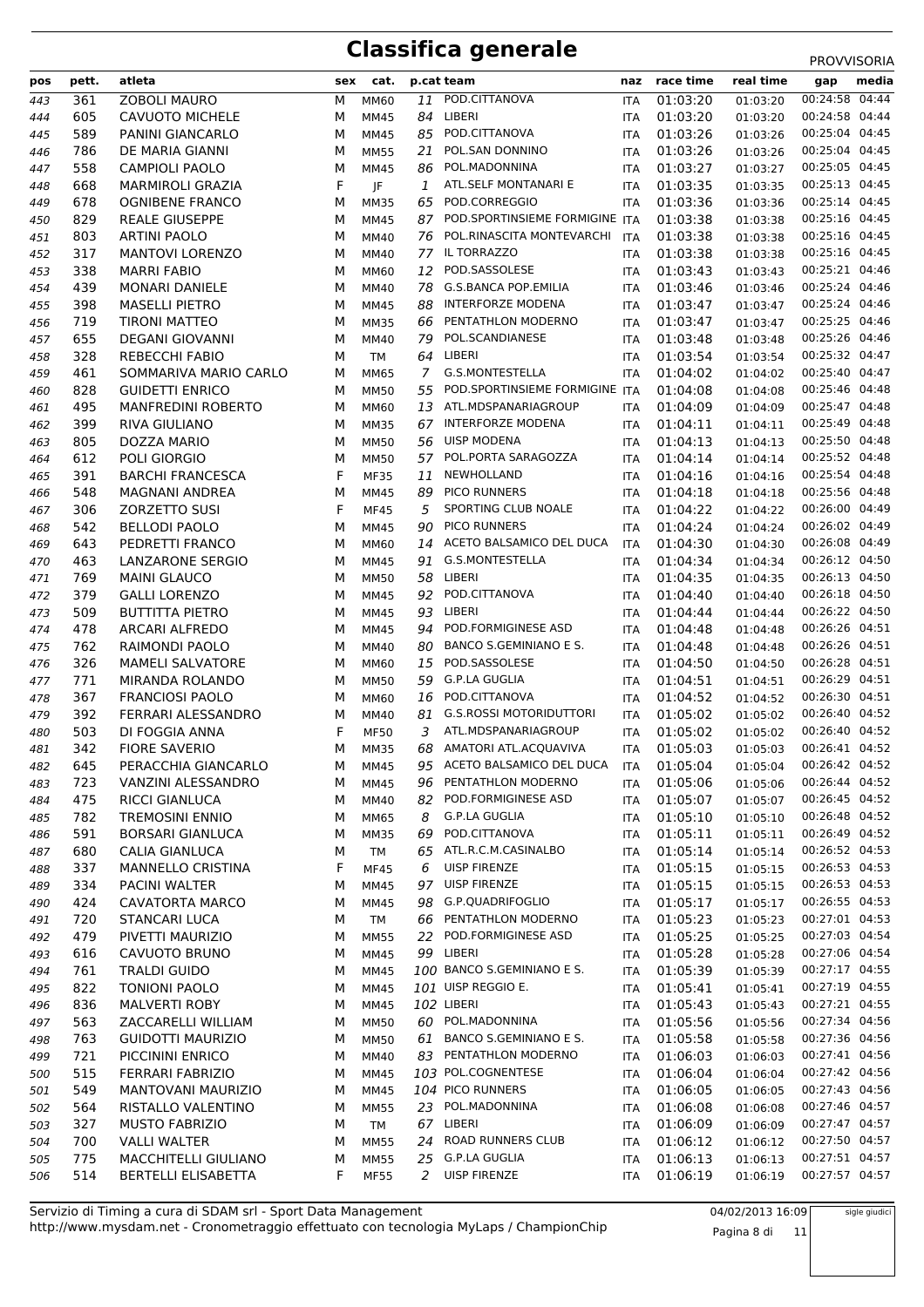#### **Classifica generale**

|     |       |                           |   |             |    |                                   |            |               |           | <b>FRUVVIJURIA</b> |
|-----|-------|---------------------------|---|-------------|----|-----------------------------------|------------|---------------|-----------|--------------------|
| pos | pett. | atleta                    |   | sex cat.    |    | p.cat team                        |            | naz race time | real time | media<br>gap       |
| 443 | 361   | <b>ZOBOLI MAURO</b>       | М | MM60        | 11 | POD.CITTANOVA                     | <b>ITA</b> | 01:03:20      | 01:03:20  | 00:24:58 04:44     |
| 444 | 605   | <b>CAVUOTO MICHELE</b>    | М | MM45        | 84 | LIBERI                            | <b>ITA</b> | 01:03:20      | 01:03:20  | 00:24:58 04:44     |
| 445 | 589   | PANINI GIANCARLO          | М | <b>MM45</b> | 85 | POD.CITTANOVA                     | <b>ITA</b> | 01:03:26      | 01:03:26  | 00:25:04 04:45     |
| 446 | 786   | DE MARIA GIANNI           | М | <b>MM55</b> | 21 | POL.SAN DONNINO                   | <b>ITA</b> | 01:03:26      | 01:03:26  | 00:25:04 04:45     |
| 447 | 558   | <b>CAMPIOLI PAOLO</b>     | M | <b>MM45</b> | 86 | POL.MADONNINA                     | <b>ITA</b> | 01:03:27      | 01:03:27  | 00:25:05 04:45     |
| 448 | 668   | <b>MARMIROLI GRAZIA</b>   | F | JF          | 1  | ATL.SELF MONTANARI E              | <b>ITA</b> | 01:03:35      | 01:03:35  | 00:25:13 04:45     |
| 449 | 678   | <b>OGNIBENE FRANCO</b>    | М | <b>MM35</b> | 65 | POD.CORREGGIO                     | <b>ITA</b> | 01:03:36      | 01:03:36  | 00:25:14 04:45     |
| 450 | 829   | <b>REALE GIUSEPPE</b>     | M | <b>MM45</b> |    | 87 POD.SPORTINSIEME FORMIGINE ITA |            | 01:03:38      | 01:03:38  | 00:25:16 04:45     |
| 451 | 803   | <b>ARTINI PAOLO</b>       | м | MM40        | 76 | POL.RINASCITA MONTEVARCHI         | <b>ITA</b> | 01:03:38      | 01:03:38  | 00:25:16 04:45     |
| 452 | 317   | <b>MANTOVI LORENZO</b>    | М | MM40        | 77 | IL TORRAZZO                       | <b>ITA</b> | 01:03:38      | 01:03:38  | 00:25:16 04:45     |
| 453 | 338   | <b>MARRI FABIO</b>        | M | MM60        | 12 | POD.SASSOLESE                     | <b>ITA</b> | 01:03:43      | 01:03:43  | 00:25:21 04:46     |
| 454 | 439   | <b>MONARI DANIELE</b>     | M | MM40        | 78 | <b>G.S.BANCA POP.EMILIA</b>       | <b>ITA</b> | 01:03:46      | 01:03:46  | 00:25:24 04:46     |
| 455 | 398   | <b>MASELLI PIETRO</b>     | M | <b>MM45</b> | 88 | <b>INTERFORZE MODENA</b>          | <b>ITA</b> | 01:03:47      | 01:03:47  | 00:25:24 04:46     |
| 456 | 719   | <b>TIRONI MATTEO</b>      | M | <b>MM35</b> | 66 | PENTATHLON MODERNO                | <b>ITA</b> | 01:03:47      | 01:03:47  | 00:25:25 04:46     |
| 457 | 655   | <b>DEGANI GIOVANNI</b>    | М | MM40        | 79 | POL.SCANDIANESE                   | <b>ITA</b> | 01:03:48      | 01:03:48  | 00:25:26 04:46     |
| 458 | 328   | <b>REBECCHI FABIO</b>     | М | <b>TM</b>   | 64 | LIBERI                            | <b>ITA</b> | 01:03:54      | 01:03:54  | 00:25:32 04:47     |
|     | 461   | SOMMARIVA MARIO CARLO     | M |             | 7  | G.S.MONTESTELLA                   |            | 01:04:02      |           | 00:25:40 04:47     |
| 459 |       |                           |   | <b>MM65</b> |    | POD.SPORTINSIEME FORMIGINE ITA    | <b>ITA</b> |               | 01:04:02  | 00:25:46 04:48     |
| 460 | 828   | <b>GUIDETTI ENRICO</b>    | M | <b>MM50</b> | 55 |                                   |            | 01:04:08      | 01:04:08  |                    |
| 461 | 495   | <b>MANFREDINI ROBERTO</b> | М | MM60        |    | 13 ATL.MDSPANARIAGROUP            | <b>ITA</b> | 01:04:09      | 01:04:09  | 00:25:47 04:48     |
| 462 | 399   | <b>RIVA GIULIANO</b>      | М | <b>MM35</b> | 67 | INTERFORZE MODENA                 | <b>ITA</b> | 01:04:11      | 01:04:11  | 00:25:49 04:48     |
| 463 | 805   | DOZZA MARIO               | м | <b>MM50</b> | 56 | <b>UISP MODENA</b>                | <b>ITA</b> | 01:04:13      | 01:04:13  | 00:25:50 04:48     |
| 464 | 612   | POLI GIORGIO              | М | <b>MM50</b> | 57 | POL.PORTA SARAGOZZA               | <b>ITA</b> | 01:04:14      | 01:04:14  | 00:25:52 04:48     |
| 465 | 391   | <b>BARCHI FRANCESCA</b>   | F | <b>MF35</b> | 11 | NEWHOLLAND                        | <b>ITA</b> | 01:04:16      | 01:04:16  | 00:25:54 04:48     |
| 466 | 548   | MAGNANI ANDREA            | M | <b>MM45</b> | 89 | PICO RUNNERS                      | <b>ITA</b> | 01:04:18      | 01:04:18  | 00:25:56 04:48     |
| 467 | 306   | <b>ZORZETTO SUSI</b>      | F | <b>MF45</b> | 5  | SPORTING CLUB NOALE               | <b>ITA</b> | 01:04:22      | 01:04:22  | 00:26:00 04:49     |
| 468 | 542   | <b>BELLODI PAOLO</b>      | М | <b>MM45</b> | 90 | <b>PICO RUNNERS</b>               | <b>ITA</b> | 01:04:24      | 01:04:24  | 00:26:02 04:49     |
| 469 | 643   | PEDRETTI FRANCO           | М | MM60        | 14 | ACETO BALSAMICO DEL DUCA          | <b>ITA</b> | 01:04:30      | 01:04:30  | 00:26:08 04:49     |
| 470 | 463   | <b>LANZARONE SERGIO</b>   | М | <b>MM45</b> | 91 | G.S.MONTESTELLA                   | <b>ITA</b> | 01:04:34      | 01:04:34  | 00:26:12 04:50     |
| 471 | 769   | <b>MAINI GLAUCO</b>       | M | <b>MM50</b> |    | 58 LIBERI                         | <b>ITA</b> | 01:04:35      | 01:04:35  | 00:26:13 04:50     |
| 472 | 379   | <b>GALLI LORENZO</b>      | M | <b>MM45</b> | 92 | POD.CITTANOVA                     | <b>ITA</b> | 01:04:40      | 01:04:40  | 00:26:18 04:50     |
| 473 | 509   | <b>BUTTITTA PIETRO</b>    | М | <b>MM45</b> | 93 | LIBERI                            | <b>ITA</b> | 01:04:44      | 01:04:44  | 00:26:22 04:50     |
| 474 | 478   | <b>ARCARI ALFREDO</b>     | м | <b>MM45</b> | 94 | POD.FORMIGINESE ASD               | <b>ITA</b> | 01:04:48      | 01:04:48  | 00:26:26 04:51     |
| 475 | 762   | RAIMONDI PAOLO            | М | MM40        | 80 | BANCO S.GEMINIANO E S.            | <b>ITA</b> | 01:04:48      | 01:04:48  | 00:26:26 04:51     |
| 476 | 326   | <b>MAMELI SALVATORE</b>   | М | MM60        | 15 | POD.SASSOLESE                     | <b>ITA</b> | 01:04:50      | 01:04:50  | 00:26:28 04:51     |
| 477 | 771   | MIRANDA ROLANDO           | M | <b>MM50</b> | 59 | <b>G.P.LA GUGLIA</b>              | <b>ITA</b> | 01:04:51      | 01:04:51  | 00:26:29 04:51     |
| 478 | 367   | <b>FRANCIOSI PAOLO</b>    | M | MM60        | 16 | POD.CITTANOVA                     | <b>ITA</b> | 01:04:52      | 01:04:52  | 00:26:30 04:51     |
| 479 | 392   | FERRARI ALESSANDRO        | М | MM40        | 81 | <b>G.S.ROSSI MOTORIDUTTORI</b>    | <b>ITA</b> | 01:05:02      | 01:05:02  | 00:26:40 04:52     |
| 480 | 503   | DI FOGGIA ANNA            | F | <b>MF50</b> | 3  | ATL.MDSPANARIAGROUP               | <b>ITA</b> | 01:05:02      | 01:05:02  | 00:26:40 04:52     |
| 481 | 342   | <b>FIORE SAVERIO</b>      | М | <b>MM35</b> | 68 | AMATORI ATL.ACQUAVIVA             | <b>ITA</b> | 01:05:03      | 01:05:03  | 00:26:41 04:52     |
| 482 | 645   | PERACCHIA GIANCARLO       | М | <b>MM45</b> |    | 95 ACETO BALSAMICO DEL DUCA       | ITA        | 01:05:04      | 01:05:04  | 00:26:42 04:52     |
| 483 | 723   | VANZINI ALESSANDRO        | М | MM45        | 96 | PENTATHLON MODERNO                | <b>ITA</b> | 01:05:06      | 01:05:06  | 00:26:44 04:52     |
| 484 | 475   | <b>RICCI GIANLUCA</b>     | М | <b>MM40</b> | 82 | POD.FORMIGINESE ASD               | <b>ITA</b> | 01:05:07      | 01:05:07  | 00:26:45 04:52     |
| 485 | 782   | <b>TREMOSINI ENNIO</b>    | М | MM65        | 8  | G.P.LA GUGLIA                     | <b>ITA</b> | 01:05:10      | 01:05:10  | 00:26:48 04:52     |
| 486 | 591   | <b>BORSARI GIANLUCA</b>   | М | <b>MM35</b> | 69 | POD.CITTANOVA                     | ITA        | 01:05:11      | 01:05:11  | 00:26:49 04:52     |
| 487 | 680   | <b>CALIA GIANLUCA</b>     | М | <b>TM</b>   | 65 | ATL.R.C.M.CASINALBO               | <b>ITA</b> | 01:05:14      | 01:05:14  | 00:26:52 04:53     |
| 488 | 337   | MANNELLO CRISTINA         | F | MF45        | 6  | <b>UISP FIRENZE</b>               | <b>ITA</b> | 01:05:15      | 01:05:15  | 00:26:53 04:53     |
| 489 | 334   | PACINI WALTER             | м | MM45        |    | 97 UISP FIRENZE                   | ITA        | 01:05:15      | 01:05:15  | 00:26:53 04:53     |
| 490 | 424   | <b>CAVATORTA MARCO</b>    | М | <b>MM45</b> | 98 | G.P.QUADRIFOGLIO                  | <b>ITA</b> | 01:05:17      | 01:05:17  | 00:26:55 04:53     |
| 491 | 720   | <b>STANCARI LUCA</b>      | М | TM          |    | 66 PENTATHLON MODERNO             | <b>ITA</b> | 01:05:23      | 01:05:23  | 00:27:01 04:53     |
| 492 | 479   | PIVETTI MAURIZIO          | М | <b>MM55</b> | 22 | POD.FORMIGINESE ASD               | ITA        | 01:05:25      | 01:05:25  | 00:27:03 04:54     |
| 493 | 616   | CAVUOTO BRUNO             | М | <b>MM45</b> |    | 99 LIBERI                         | ITA        | 01:05:28      | 01:05:28  | 00:27:06 04:54     |
| 494 | 761   | <b>TRALDI GUIDO</b>       | М | <b>MM45</b> |    | 100 BANCO S.GEMINIANO E S.        | ITA        | 01:05:39      | 01:05:39  | 00:27:17 04:55     |
|     | 822   | <b>TONIONI PAOLO</b>      |   | <b>MM45</b> |    | 101 UISP REGGIO E.                |            | 01:05:41      |           | 00:27:19 04:55     |
| 495 |       |                           | М |             |    |                                   | ITA        |               | 01:05:41  | 00:27:21 04:55     |
| 496 | 836   | <b>MALVERTI ROBY</b>      | М | <b>MM45</b> |    | 102 LIBERI                        | ITA        | 01:05:43      | 01:05:43  |                    |
| 497 | 563   | ZACCARELLI WILLIAM        | М | <b>MM50</b> |    | 60 POL.MADONNINA                  | <b>ITA</b> | 01:05:56      | 01:05:56  | 00:27:34 04:56     |
| 498 | 763   | <b>GUIDOTTI MAURIZIO</b>  | М | <b>MM50</b> | 61 | BANCO S.GEMINIANO E S.            | ITA        | 01:05:58      | 01:05:58  | 00:27:36 04:56     |
| 499 | 721   | PICCININI ENRICO          | М | MM40        |    | 83 PENTATHLON MODERNO             | ITA        | 01:06:03      | 01:06:03  | 00:27:41 04:56     |
| 500 | 515   | <b>FERRARI FABRIZIO</b>   | М | <b>MM45</b> |    | 103 POL.COGNENTESE                | <b>ITA</b> | 01:06:04      | 01:06:04  | 00:27:42 04:56     |
| 501 | 549   | MANTOVANI MAURIZIO        | М | <b>MM45</b> |    | 104 PICO RUNNERS                  | ITA        | 01:06:05      | 01:06:05  | 00:27:43 04:56     |
| 502 | 564   | RISTALLO VALENTINO        | М | <b>MM55</b> |    | 23 POL.MADONNINA                  | <b>ITA</b> | 01:06:08      | 01:06:08  | 00:27:46 04:57     |
| 503 | 327   | <b>MUSTO FABRIZIO</b>     | М | <b>TM</b>   |    | 67 LIBERI                         | <b>ITA</b> | 01:06:09      | 01:06:09  | 00:27:47 04:57     |
| 504 | 700   | <b>VALLI WALTER</b>       | М | <b>MM55</b> | 24 | ROAD RUNNERS CLUB                 | ITA        | 01:06:12      | 01:06:12  | 00:27:50 04:57     |
| 505 | 775   | MACCHITELLI GIULIANO      | М | <b>MM55</b> |    | 25 G.P.LA GUGLIA                  | <b>ITA</b> | 01:06:13      | 01:06:13  | 00:27:51 04:57     |
| 506 | 514   | BERTELLI ELISABETTA       | F | <b>MF55</b> |    | 2 UISP FIRENZE                    | <b>ITA</b> | 01:06:19      | 01:06:19  | 00:27:57 04:57     |

Pagina 8 di 11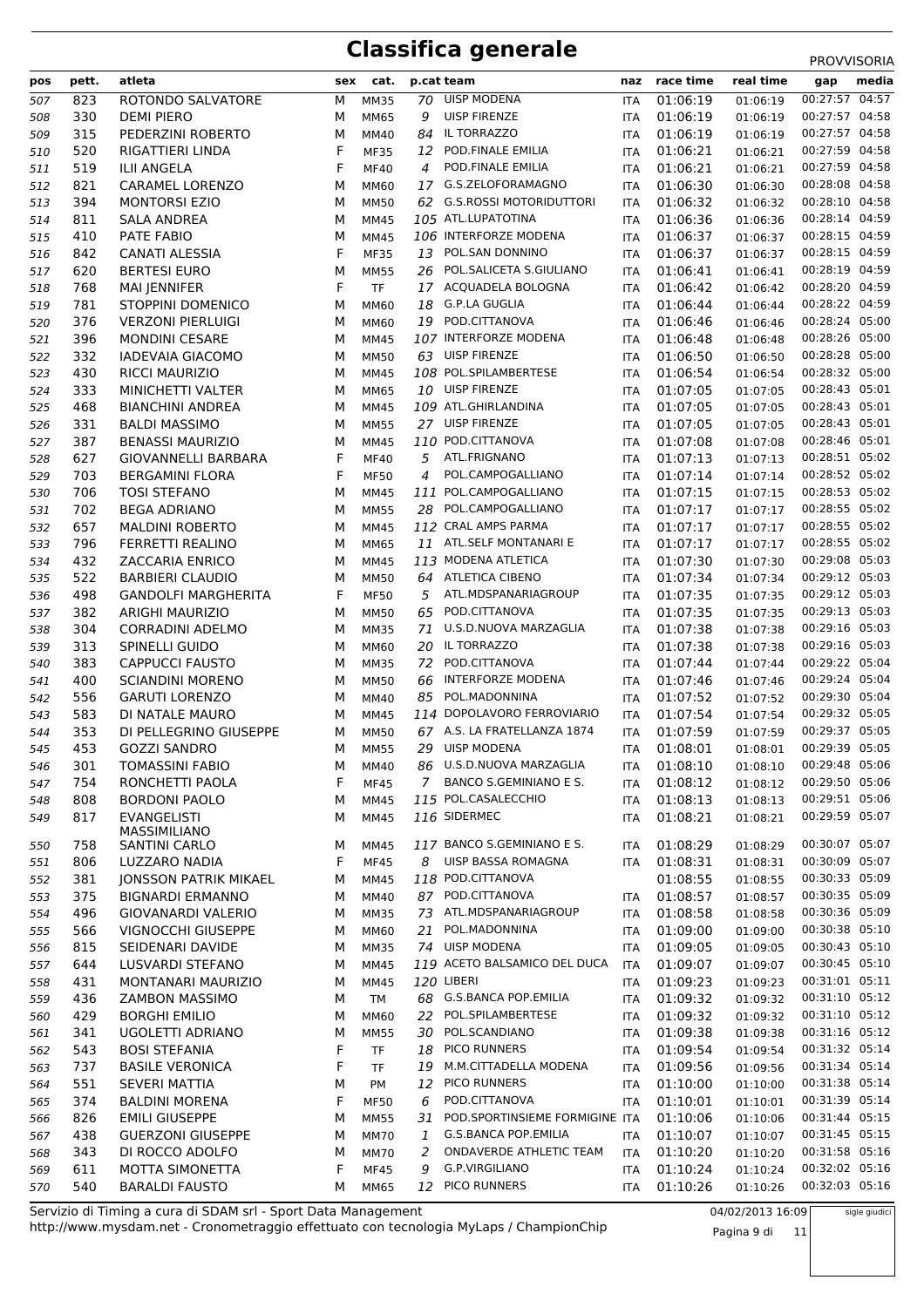| pos | pett.      | atleta                                      | sex    | cat.        |        | p.cat team                                             | naz        | race time            | real time | gap                              | media |
|-----|------------|---------------------------------------------|--------|-------------|--------|--------------------------------------------------------|------------|----------------------|-----------|----------------------------------|-------|
| 507 | 823        | ROTONDO SALVATORE                           | M      | <b>MM35</b> | 70     | <b>UISP MODENA</b>                                     | <b>ITA</b> | 01:06:19             | 01:06:19  | 00:27:57 04:57                   |       |
| 508 | 330        | <b>DEMI PIERO</b>                           | М      | MM65        | 9      | <b>UISP FIRENZE</b>                                    | <b>ITA</b> | 01:06:19             | 01:06:19  | 00:27:57 04:58                   |       |
| 509 | 315        | PEDERZINI ROBERTO                           | М      | MM40        | 84     | IL TORRAZZO                                            | <b>ITA</b> | 01:06:19             | 01:06:19  | 00:27:57 04:58                   |       |
| 510 | 520        | RIGATTIERI LINDA                            | F      | <b>MF35</b> | 12     | POD.FINALE EMILIA                                      | <b>ITA</b> | 01:06:21             | 01:06:21  | 00:27:59 04:58                   |       |
| 511 | 519        | <b>ILII ANGELA</b>                          | F      | <b>MF40</b> | 4      | POD.FINALE EMILIA                                      | <b>ITA</b> | 01:06:21             | 01:06:21  | 00:27:59 04:58                   |       |
| 512 | 821        | <b>CARAMEL LORENZO</b>                      | M      | MM60        | 17     | G.S.ZELOFORAMAGNO                                      | <b>ITA</b> | 01:06:30             | 01:06:30  | 00:28:08 04:58                   |       |
| 513 | 394        | <b>MONTORSI EZIO</b>                        | М      | <b>MM50</b> |        | 62 G.S.ROSSI MOTORIDUTTORI                             | <b>ITA</b> | 01:06:32             | 01:06:32  | 00:28:10 04:58                   |       |
| 514 | 811        | SALA ANDREA                                 | М      | MM45        |        | 105 ATL.LUPATOTINA                                     | <b>ITA</b> | 01:06:36             | 01:06:36  | 00:28:14 04:59                   |       |
| 515 | 410        | PATE FABIO                                  | М      | <b>MM45</b> |        | 106 INTERFORZE MODENA                                  | <b>ITA</b> | 01:06:37             | 01:06:37  | 00:28:15 04:59                   |       |
| 516 | 842        | <b>CANATI ALESSIA</b>                       | F      | <b>MF35</b> |        | 13 POL.SAN DONNINO                                     | <b>ITA</b> | 01:06:37             | 01:06:37  | 00:28:15 04:59                   |       |
| 517 | 620        | <b>BERTESI EURO</b>                         | M      | <b>MM55</b> |        | 26 POL.SALICETA S.GIULIANO                             | <b>ITA</b> | 01:06:41             | 01:06:41  | 00:28:19 04:59                   |       |
| 518 | 768        | <b>MAI JENNIFER</b>                         | F      | <b>TF</b>   |        | 17 ACQUADELA BOLOGNA                                   | <b>ITA</b> | 01:06:42             | 01:06:42  | 00:28:20 04:59                   |       |
| 519 | 781        | STOPPINI DOMENICO                           | М      | MM60        | 18     | G.P.LA GUGLIA                                          | <b>ITA</b> | 01:06:44             | 01:06:44  | 00:28:22 04:59                   |       |
| 520 | 376        | <b>VERZONI PIERLUIGI</b>                    | М      | MM60        |        | 19 POD.CITTANOVA                                       | <b>ITA</b> | 01:06:46             | 01:06:46  | 00:28:24 05:00                   |       |
| 521 | 396        | <b>MONDINI CESARE</b>                       | М      | <b>MM45</b> |        | 107 INTERFORZE MODENA                                  | <b>ITA</b> | 01:06:48             | 01:06:48  | 00:28:26 05:00                   |       |
| 522 | 332        | <b>IADEVAIA GIACOMO</b>                     | М      | <b>MM50</b> |        | 63 UISP FIRENZE                                        | <b>ITA</b> | 01:06:50             | 01:06:50  | 00:28:28 05:00                   |       |
| 523 | 430        | <b>RICCI MAURIZIO</b>                       | М      | <b>MM45</b> |        | 108 POL.SPILAMBERTESE                                  | <b>ITA</b> | 01:06:54             | 01:06:54  | 00:28:32 05:00                   |       |
| 524 | 333        | MINICHETTI VALTER                           | М      | MM65        | 10     | <b>UISP FIRENZE</b>                                    | <b>ITA</b> | 01:07:05             | 01:07:05  | 00:28:43 05:01                   |       |
| 525 | 468        | <b>BIANCHINI ANDREA</b>                     | М      | MM45        |        | 109 ATL.GHIRLANDINA                                    | <b>ITA</b> | 01:07:05             | 01:07:05  | 00:28:43 05:01                   |       |
| 526 | 331        | <b>BALDI MASSIMO</b>                        | M      | <b>MM55</b> |        | 27 UISP FIRENZE                                        | <b>ITA</b> | 01:07:05             | 01:07:05  | 00:28:43 05:01                   |       |
| 527 | 387        | <b>BENASSI MAURIZIO</b>                     | M      | <b>MM45</b> |        | 110 POD.CITTANOVA                                      | <b>ITA</b> | 01:07:08             | 01:07:08  | 00:28:46 05:01                   |       |
| 528 | 627        | <b>GIOVANNELLI BARBARA</b>                  | F      | <b>MF40</b> | 5      | ATL.FRIGNANO                                           | <b>ITA</b> | 01:07:13             | 01:07:13  | 00:28:51 05:02                   |       |
| 529 | 703        | <b>BERGAMINI FLORA</b>                      | F      | <b>MF50</b> | 4      | POL.CAMPOGALLIANO                                      | <b>ITA</b> | 01:07:14             | 01:07:14  | 00:28:52 05:02                   |       |
| 530 | 706        | <b>TOSI STEFANO</b>                         | M      | MM45        |        | 111 POL.CAMPOGALLIANO                                  | <b>ITA</b> | 01:07:15             | 01:07:15  | 00:28:53 05:02                   |       |
| 531 | 702        | <b>BEGA ADRIANO</b>                         | М      | <b>MM55</b> |        | 28 POL.CAMPOGALLIANO                                   | <b>ITA</b> | 01:07:17             | 01:07:17  | 00:28:55 05:02                   |       |
| 532 | 657        | <b>MALDINI ROBERTO</b>                      | М      | MM45        |        | 112 CRAL AMPS PARMA                                    | <b>ITA</b> | 01:07:17             | 01:07:17  | 00:28:55 05:02                   |       |
| 533 | 796        | <b>FERRETTI REALINO</b>                     | М      | <b>MM65</b> |        | 11 ATL.SELF MONTANARI E                                | <b>ITA</b> | 01:07:17             | 01:07:17  | 00:28:55 05:02                   |       |
| 534 | 432        | <b>ZACCARIA ENRICO</b>                      | М      | MM45        |        | 113 MODENA ATLETICA                                    | <b>ITA</b> | 01:07:30             | 01:07:30  | 00:29:08 05:03                   |       |
| 535 | 522        | <b>BARBIERI CLAUDIO</b>                     | М      | <b>MM50</b> | 64     | ATLETICA CIBENO                                        | <b>ITA</b> | 01:07:34             | 01:07:34  | 00:29:12 05:03                   |       |
| 536 | 498        | <b>GANDOLFI MARGHERITA</b>                  | F      | <b>MF50</b> | 5      | ATL.MDSPANARIAGROUP                                    | <b>ITA</b> | 01:07:35             | 01:07:35  | 00:29:12 05:03                   |       |
| 537 | 382        | <b>ARIGHI MAURIZIO</b>                      | М      | <b>MM50</b> | 65     | POD.CITTANOVA                                          | <b>ITA</b> | 01:07:35             | 01:07:35  | 00:29:13 05:03                   |       |
| 538 | 304        | <b>CORRADINI ADELMO</b>                     | М      | <b>MM35</b> | 71     | U.S.D.NUOVA MARZAGLIA                                  | <b>ITA</b> | 01:07:38             | 01:07:38  | 00:29:16 05:03                   |       |
| 539 | 313        | SPINELLI GUIDO                              | М      | MM60        | 20     | IL TORRAZZO                                            | <b>ITA</b> | 01:07:38             | 01:07:38  | 00:29:16 05:03                   |       |
| 540 | 383        | <b>CAPPUCCI FAUSTO</b>                      | М      | <b>MM35</b> | 72     | POD.CITTANOVA                                          | <b>ITA</b> | 01:07:44             | 01:07:44  | 00:29:22 05:04                   |       |
| 541 | 400        | <b>SCIANDINI MORENO</b>                     | М      | <b>MM50</b> | 66     | <b>INTERFORZE MODENA</b>                               | <b>ITA</b> | 01:07:46             | 01:07:46  | 00:29:24 05:04                   |       |
| 542 | 556        | <b>GARUTI LORENZO</b>                       | М      | MM40        | 85     | POL.MADONNINA                                          | <b>ITA</b> | 01:07:52             | 01:07:52  | 00:29:30 05:04                   |       |
| 543 | 583        | DI NATALE MAURO                             | М      | MM45        |        | 114 DOPOLAVORO FERROVIARIO                             | ITA        | 01:07:54             | 01:07:54  | 00:29:32 05:05                   |       |
| 544 | 353        | DI PELLEGRINO GIUSEPPE                      | м      | <b>MM50</b> |        | 67 A.S. LA FRATELLANZA 1874                            | <b>ITA</b> | 01:07:59             | 01:07:59  | 00:29:37 05:05                   |       |
| 545 | 453        | <b>GOZZI SANDRO</b>                         | М      | <b>MM55</b> |        | 29 UISP MODENA                                         | <b>ITA</b> | 01:08:01             | 01:08:01  | 00:29:39 05:05                   |       |
| 546 | 301        | <b>TOMASSINI FABIO</b>                      | M      | MM40        |        | 86 U.S.D.NUOVA MARZAGLIA                               |            | ITA 01:08:10         | 01:08:10  | 00:29:48 05:06                   |       |
| 547 | 754        | RONCHETTI PAOLA                             | F      | <b>MF45</b> |        | 7 BANCO S.GEMINIANO E S.                               | ITA        | 01:08:12             | 01:08:12  | 00:29:50 05:06                   |       |
| 548 | 808        | <b>BORDONI PAOLO</b>                        | М      | MM45        |        | 115 POL.CASALECCHIO                                    | ITA        | 01:08:13             | 01:08:13  | 00:29:51 05:06                   |       |
| 549 | 817        | <b>EVANGELISTI</b>                          | М      | MM45        |        | 116 SIDERMEC                                           | ITA        | 01:08:21             | 01:08:21  | 00:29:59 05:07                   |       |
|     |            | MASSIMILIANO                                |        |             |        |                                                        |            |                      |           |                                  |       |
| 550 | 758        | SANTINI CARLO                               | M      | MM45        |        | 117 BANCO S.GEMINIANO E S.<br>UISP BASSA ROMAGNA       | ITA        | 01:08:29             | 01:08:29  | 00:30:07 05:07<br>00:30:09 05:07 |       |
| 551 | 806        | LUZZARO NADIA                               | F      | <b>MF45</b> | 8      | 118 POD.CITTANOVA                                      | ITA        | 01:08:31             | 01:08:31  | 00:30:33 05:09                   |       |
| 552 | 381        | <b>JONSSON PATRIK MIKAEL</b>                | М      | <b>MM45</b> |        |                                                        |            | 01:08:55             | 01:08:55  | 00:30:35 05:09                   |       |
| 553 | 375        | <b>BIGNARDI ERMANNO</b>                     | М      | <b>MM40</b> |        | 87 POD.CITTANOVA                                       | ITA        | 01:08:57             | 01:08:57  | 00:30:36 05:09                   |       |
| 554 | 496        | <b>GIOVANARDI VALERIO</b>                   | м      | <b>MM35</b> |        | 73 ATL.MDSPANARIAGROUP<br>POL.MADONNINA                | ITA        | 01:08:58             | 01:08:58  | 00:30:38 05:10                   |       |
| 555 | 566        | VIGNOCCHI GIUSEPPE                          | М      | <b>MM60</b> | 21     | 74 UISP MODENA                                         | ITA        | 01:09:00             | 01:09:00  | 00:30:43 05:10                   |       |
| 556 | 815        | SEIDENARI DAVIDE                            | М      | <b>MM35</b> |        | 119 ACETO BALSAMICO DEL DUCA                           | ITA        | 01:09:05             | 01:09:05  | 00:30:45 05:10                   |       |
| 557 | 644        | <b>LUSVARDI STEFANO</b>                     | М      | MM45        |        | 120 LIBERI                                             | ITA        | 01:09:07             | 01:09:07  |                                  |       |
| 558 | 431        | MONTANARI MAURIZIO                          | М      | <b>MM45</b> |        | 68 G.S.BANCA POP.EMILIA                                | ITA        | 01:09:23             | 01:09:23  | 00:31:01 05:11<br>00:31:10 05:12 |       |
| 559 | 436        | <b>ZAMBON MASSIMO</b>                       | М      | <b>TM</b>   |        | 22 POL.SPILAMBERTESE                                   | <b>ITA</b> | 01:09:32             | 01:09:32  | 00:31:10 05:12                   |       |
| 560 | 429        | <b>BORGHI EMILIO</b>                        | М      | MM60        |        |                                                        | <b>ITA</b> | 01:09:32             | 01:09:32  | 00:31:16 05:12                   |       |
| 561 | 341        | UGOLETTI ADRIANO                            | М      | <b>MM55</b> | 30     | POL.SCANDIANO<br>18 PICO RUNNERS                       | ITA        | 01:09:38             | 01:09:38  | 00:31:32 05:14                   |       |
| 562 | 543        | <b>BOSI STEFANIA</b>                        | F      | <b>TF</b>   |        | M.M.CITTADELLA MODENA                                  | <b>ITA</b> | 01:09:54             | 01:09:54  | 00:31:34 05:14                   |       |
| 563 | 737        | <b>BASILE VERONICA</b>                      | F      | <b>TF</b>   | 19     |                                                        | ITA        | 01:09:56             | 01:09:56  |                                  |       |
| 564 | 551        | <b>SEVERI MATTIA</b>                        | М<br>F | PM          | 12     | PICO RUNNERS<br>POD.CITTANOVA                          | ITA        | 01:10:00             | 01:10:00  | 00:31:38 05:14<br>00:31:39 05:14 |       |
| 565 | 374        | <b>BALDINI MORENA</b>                       |        | <b>MF50</b> | 6      | POD.SPORTINSIEME FORMIGINE ITA                         | <b>ITA</b> | 01:10:01             | 01:10:01  | 00:31:44 05:15                   |       |
| 566 | 826        | <b>EMILI GIUSEPPE</b>                       | М      | <b>MM55</b> | 31     |                                                        |            | 01:10:06             | 01:10:06  | 00:31:45 05:15                   |       |
| 567 | 438<br>343 | <b>GUERZONI GIUSEPPE</b><br>DI ROCCO ADOLFO | М      | <b>MM70</b> | 1<br>2 | <b>G.S.BANCA POP.EMILIA</b><br>ONDAVERDE ATHLETIC TEAM | ITA        | 01:10:07<br>01:10:20 | 01:10:07  | 00:31:58 05:16                   |       |
| 568 |            |                                             | М<br>F | <b>MM70</b> |        | G.P.VIRGILIANO                                         | <b>ITA</b> |                      | 01:10:20  | 00:32:02 05:16                   |       |
| 569 | 611        | MOTTA SIMONETTA                             |        | <b>MF45</b> | 9      | 12 PICO RUNNERS                                        | ITA        | 01:10:24             | 01:10:24  | 00:32:03 05:16                   |       |
| 570 | 540        | <b>BARALDI FAUSTO</b>                       | М      | MM65        |        |                                                        | ITA        | 01:10:26             | 01:10:26  |                                  |       |

http://www.mysdam.net - Cronometraggio effettuato con tecnologia MyLaps / ChampionChip Servizio di Timing a cura di SDAM srl - Sport Data Management 04/02/2013 16:09

Pagina 9 di 11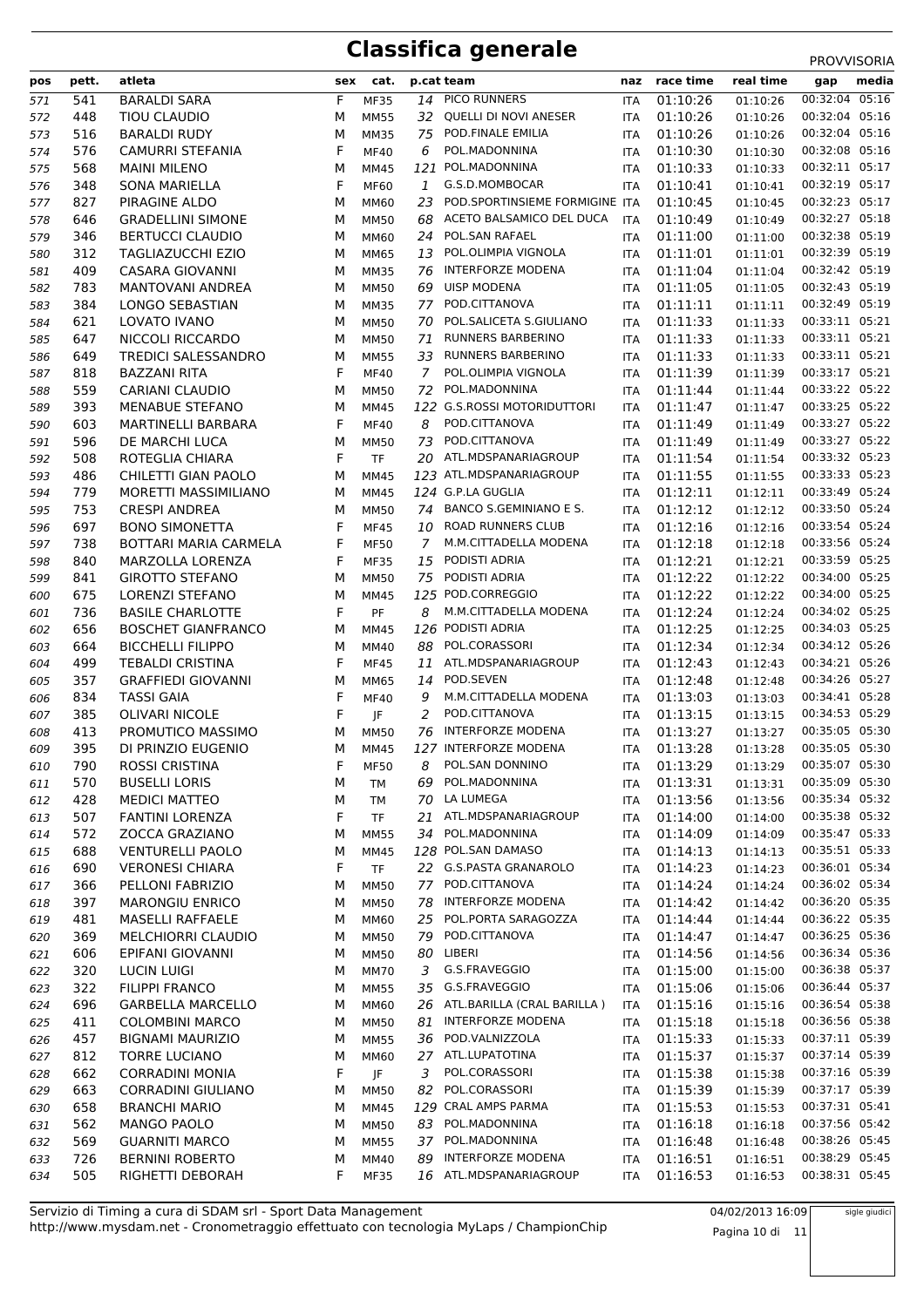| pos | pett. | atleta                     | sex | cat.        |              | p.cat team                     | naz        | race time | real time | gap            | media |
|-----|-------|----------------------------|-----|-------------|--------------|--------------------------------|------------|-----------|-----------|----------------|-------|
|     |       |                            | F   |             |              | PICO RUNNERS                   |            |           |           | 00:32:04       | 05:16 |
| 571 | 541   | <b>BARALDI SARA</b>        |     | <b>MF35</b> | 14           | QUELLI DI NOVI ANESER          | ITA        | 01:10:26  | 01:10:26  |                |       |
| 572 | 448   | <b>TIOU CLAUDIO</b>        | M   | <b>MM55</b> | 32           |                                | <b>ITA</b> | 01:10:26  | 01:10:26  | 00:32:04 05:16 |       |
| 573 | 516   | <b>BARALDI RUDY</b>        | M   | <b>MM35</b> | 75           | POD.FINALE EMILIA              | ITA        | 01:10:26  | 01:10:26  | 00:32:04 05:16 |       |
| 574 | 576   | <b>CAMURRI STEFANIA</b>    | F   | <b>MF40</b> | 6            | POL.MADONNINA                  | <b>ITA</b> | 01:10:30  | 01:10:30  | 00:32:08 05:16 |       |
| 575 | 568   | <b>MAINI MILENO</b>        | M   | MM45        |              | 121 POL.MADONNINA              | ITA        | 01:10:33  | 01:10:33  | 00:32:11 05:17 |       |
| 576 | 348   | <b>SONA MARIELLA</b>       | F   | <b>MF60</b> | $\mathbf{1}$ | G.S.D.MOMBOCAR                 | <b>ITA</b> | 01:10:41  | 01:10:41  | 00:32:19 05:17 |       |
| 577 | 827   | PIRAGINE ALDO              | M   | MM60        | 23           | POD.SPORTINSIEME FORMIGINE ITA |            | 01:10:45  | 01:10:45  | 00:32:23 05:17 |       |
| 578 | 646   | <b>GRADELLINI SIMONE</b>   | M   | <b>MM50</b> | 68           | ACETO BALSAMICO DEL DUCA       | <b>ITA</b> | 01:10:49  | 01:10:49  | 00:32:27 05:18 |       |
| 579 | 346   | <b>BERTUCCI CLAUDIO</b>    | M   | <b>MM60</b> | 24           | POL.SAN RAFAEL                 | ITA        | 01:11:00  | 01:11:00  | 00:32:38 05:19 |       |
| 580 | 312   | <b>TAGLIAZUCCHI EZIO</b>   | M   | MM65        | 13           | POL.OLIMPIA VIGNOLA            | <b>ITA</b> | 01:11:01  | 01:11:01  | 00:32:39 05:19 |       |
| 581 | 409   | <b>CASARA GIOVANNI</b>     | M   | <b>MM35</b> | 76           | <b>INTERFORZE MODENA</b>       | <b>ITA</b> | 01:11:04  | 01:11:04  | 00:32:42 05:19 |       |
| 582 | 783   | <b>MANTOVANI ANDREA</b>    | M   | <b>MM50</b> | 69           | <b>UISP MODENA</b>             | ITA        | 01:11:05  | 01:11:05  | 00:32:43 05:19 |       |
| 583 | 384   | <b>LONGO SEBASTIAN</b>     | M   | <b>MM35</b> | 77           | POD.CITTANOVA                  | <b>ITA</b> | 01:11:11  | 01:11:11  | 00:32:49 05:19 |       |
| 584 | 621   | LOVATO IVANO               | M   | <b>MM50</b> | 70           | POL.SALICETA S.GIULIANO        | <b>ITA</b> | 01:11:33  | 01:11:33  | 00:33:11 05:21 |       |
| 585 | 647   | NICCOLI RICCARDO           | M   | <b>MM50</b> | 71           | <b>RUNNERS BARBERINO</b>       | <b>ITA</b> | 01:11:33  | 01:11:33  | 00:33:11 05:21 |       |
| 586 | 649   | <b>TREDICI SALESSANDRO</b> | M   | <b>MM55</b> | 33           | RUNNERS BARBERINO              | <b>ITA</b> | 01:11:33  | 01:11:33  | 00:33:11 05:21 |       |
| 587 | 818   | <b>BAZZANI RITA</b>        | F   | <b>MF40</b> | 7            | POL.OLIMPIA VIGNOLA            | <b>ITA</b> | 01:11:39  | 01:11:39  | 00:33:17 05:21 |       |
| 588 | 559   | <b>CARIANI CLAUDIO</b>     | M   | <b>MM50</b> | 72           | POL.MADONNINA                  | <b>ITA</b> | 01:11:44  | 01:11:44  | 00:33:22 05:22 |       |
| 589 | 393   | <b>MENABUE STEFANO</b>     | M   | <b>MM45</b> |              | 122 G.S.ROSSI MOTORIDUTTORI    | <b>ITA</b> | 01:11:47  | 01:11:47  | 00:33:25 05:22 |       |
| 590 | 603   | MARTINELLI BARBARA         | F   | <b>MF40</b> | 8            | POD.CITTANOVA                  | <b>ITA</b> | 01:11:49  | 01:11:49  | 00:33:27 05:22 |       |
| 591 | 596   | DE MARCHI LUCA             | M   | <b>MM50</b> | 73           | POD.CITTANOVA                  | <b>ITA</b> | 01:11:49  | 01:11:49  | 00:33:27 05:22 |       |
| 592 | 508   | ROTEGLIA CHIARA            | F   | <b>TF</b>   | 20           | ATL.MDSPANARIAGROUP            | <b>ITA</b> | 01:11:54  | 01:11:54  | 00:33:32 05:23 |       |
| 593 | 486   | CHILETTI GIAN PAOLO        | М   | <b>MM45</b> |              | 123 ATL.MDSPANARIAGROUP        | <b>ITA</b> | 01:11:55  | 01:11:55  | 00:33:33 05:23 |       |
| 594 | 779   | MORETTI MASSIMILIANO       | м   | MM45        |              | 124 G.P.LA GUGLIA              | ITA        | 01:12:11  | 01:12:11  | 00:33:49 05:24 |       |
| 595 | 753   | <b>CRESPI ANDREA</b>       | M   | <b>MM50</b> | 74           | BANCO S.GEMINIANO E S.         | <b>ITA</b> | 01:12:12  | 01:12:12  | 00:33:50 05:24 |       |
| 596 | 697   | <b>BONO SIMONETTA</b>      | F   | <b>MF45</b> | 10           | <b>ROAD RUNNERS CLUB</b>       | <b>ITA</b> | 01:12:16  | 01:12:16  | 00:33:54 05:24 |       |
| 597 | 738   | BOTTARI MARIA CARMELA      | F   | <b>MF50</b> | 7            | M.M.CITTADELLA MODENA          | <b>ITA</b> | 01:12:18  | 01:12:18  | 00:33:56 05:24 |       |
| 598 | 840   | MARZOLLA LORENZA           | F   | <b>MF35</b> | 15           | PODISTI ADRIA                  |            | 01:12:21  | 01:12:21  | 00:33:59 05:25 |       |
|     | 841   |                            | M   |             | 75           | PODISTI ADRIA                  | <b>ITA</b> | 01:12:22  |           | 00:34:00 05:25 |       |
| 599 |       | <b>GIROTTO STEFANO</b>     |     | <b>MM50</b> |              | 125 POD.CORREGGIO              | <b>ITA</b> |           | 01:12:22  |                |       |
| 600 | 675   | <b>LORENZI STEFANO</b>     | M   | MM45        |              |                                | <b>ITA</b> | 01:12:22  | 01:12:22  | 00:34:00 05:25 |       |
| 601 | 736   | <b>BASILE CHARLOTTE</b>    | F   | PF          | 8            | M.M.CITTADELLA MODENA          | <b>ITA</b> | 01:12:24  | 01:12:24  | 00:34:02 05:25 |       |
| 602 | 656   | <b>BOSCHET GIANFRANCO</b>  | M   | <b>MM45</b> |              | 126 PODISTI ADRIA              | <b>ITA</b> | 01:12:25  | 01:12:25  | 00:34:03 05:25 |       |
| 603 | 664   | <b>BICCHELLI FILIPPO</b>   | M   | MM40        | 88           | POL.CORASSORI                  | <b>ITA</b> | 01:12:34  | 01:12:34  | 00:34:12 05:26 |       |
| 604 | 499   | <b>TEBALDI CRISTINA</b>    | F   | <b>MF45</b> | 11           | ATL.MDSPANARIAGROUP            | <b>ITA</b> | 01:12:43  | 01:12:43  | 00:34:21 05:26 |       |
| 605 | 357   | <b>GRAFFIEDI GIOVANNI</b>  | М   | MM65        | 14           | POD.SEVEN                      | <b>ITA</b> | 01:12:48  | 01:12:48  | 00:34:26 05:27 |       |
| 606 | 834   | <b>TASSI GAIA</b>          | F   | <b>MF40</b> | 9            | M.M.CITTADELLA MODENA          | <b>ITA</b> | 01:13:03  | 01:13:03  | 00:34:41 05:28 |       |
| 607 | 385   | <b>OLIVARI NICOLE</b>      | F   | JF          | 2            | POD.CITTANOVA                  | <b>ITA</b> | 01:13:15  | 01:13:15  | 00:34:53 05:29 |       |
| 608 | 413   | PROMUTICO MASSIMO          | M   | <b>MM50</b> | 76           | <b>INTERFORZE MODENA</b>       | <b>ITA</b> | 01:13:27  | 01:13:27  | 00:35:05 05:30 |       |
| 609 | 395   | DI PRINZIO EUGENIO         | м   | MM45        |              | 127 INTERFORZE MODENA          | <b>ITA</b> | 01:13:28  | 01:13:28  | 00:35:05 05:30 |       |
| 610 | 790   | ROSSI CRISTINA             | F   | <b>MF50</b> | 8            | POL.SAN DONNINO                | <b>ITA</b> | 01:13:29  | 01:13:29  | 00:35:07 05:30 |       |
| 611 | 570   | <b>BUSELLI LORIS</b>       | М   | TM          | 69           | POL.MADONNINA                  | ITA        | 01:13:31  | 01:13:31  | 00:35:09 05:30 |       |
| 612 | 428   | <b>MEDICI MATTEO</b>       | М   | TM          |              | 70 LA LUMEGA                   | ITA        | 01:13:56  | 01:13:56  | 00:35:34 05:32 |       |
| 613 | 507   | <b>FANTINI LORENZA</b>     | F   | <b>TF</b>   |              | 21 ATL.MDSPANARIAGROUP         | <b>ITA</b> | 01:14:00  | 01:14:00  | 00:35:38 05:32 |       |
| 614 | 572   | ZOCCA GRAZIANO             | М   | <b>MM55</b> | 34           | POL.MADONNINA                  | ITA        | 01:14:09  | 01:14:09  | 00:35:47 05:33 |       |
| 615 | 688   | <b>VENTURELLI PAOLO</b>    | М   | MM45        |              | 128 POL.SAN DAMASO             | <b>ITA</b> | 01:14:13  | 01:14:13  | 00:35:51 05:33 |       |
| 616 | 690   | <b>VERONESI CHIARA</b>     | F   | <b>TF</b>   |              | 22 G.S.PASTA GRANAROLO         | ITA        | 01:14:23  | 01:14:23  | 00:36:01 05:34 |       |
| 617 | 366   | PELLONI FABRIZIO           | М   | <b>MM50</b> | 77           | POD.CITTANOVA                  | ITA        | 01:14:24  | 01:14:24  | 00:36:02 05:34 |       |
| 618 | 397   | <b>MARONGIU ENRICO</b>     | М   | <b>MM50</b> | 78           | <b>INTERFORZE MODENA</b>       | <b>ITA</b> | 01:14:42  | 01:14:42  | 00:36:20 05:35 |       |
| 619 | 481   | <b>MASELLI RAFFAELE</b>    | М   | <b>MM60</b> | 25           | POL.PORTA SARAGOZZA            | <b>ITA</b> | 01:14:44  | 01:14:44  | 00:36:22 05:35 |       |
| 620 | 369   | MELCHIORRI CLAUDIO         | М   | <b>MM50</b> | 79           | POD.CITTANOVA                  | ITA        | 01:14:47  | 01:14:47  | 00:36:25 05:36 |       |
| 621 | 606   | EPIFANI GIOVANNI           | М   | <b>MM50</b> | 80           | LIBERI                         | ITA        | 01:14:56  | 01:14:56  | 00:36:34 05:36 |       |
| 622 | 320   | <b>LUCIN LUIGI</b>         | М   | <b>MM70</b> | 3            | G.S.FRAVEGGIO                  | ITA        | 01:15:00  | 01:15:00  | 00:36:38 05:37 |       |
| 623 | 322   | <b>FILIPPI FRANCO</b>      | М   | <b>MM55</b> | 35           | G.S.FRAVEGGIO                  | <b>ITA</b> | 01:15:06  | 01:15:06  | 00:36:44 05:37 |       |
| 624 | 696   | <b>GARBELLA MARCELLO</b>   | м   | MM60        |              | 26 ATL.BARILLA (CRAL BARILLA)  | ITA        | 01:15:16  | 01:15:16  | 00:36:54 05:38 |       |
|     | 411   | <b>COLOMBINI MARCO</b>     |     |             |              | 81 INTERFORZE MODENA           |            | 01:15:18  |           | 00:36:56 05:38 |       |
| 625 |       |                            | М   | <b>MM50</b> | 36           | POD.VALNIZZOLA                 | ITA        |           | 01:15:18  | 00:37:11 05:39 |       |
| 626 | 457   | <b>BIGNAMI MAURIZIO</b>    | м   | <b>MM55</b> |              |                                | ITA        | 01:15:33  | 01:15:33  |                |       |
| 627 | 812   | <b>TORRE LUCIANO</b>       | М   | MM60        |              | 27 ATL.LUPATOTINA              | <b>ITA</b> | 01:15:37  | 01:15:37  | 00:37:14 05:39 |       |
| 628 | 662   | <b>CORRADINI MONIA</b>     | F   | JF          | 3            | POL.CORASSORI                  | <b>ITA</b> | 01:15:38  | 01:15:38  | 00:37:16 05:39 |       |
| 629 | 663   | <b>CORRADINI GIULIANO</b>  | М   | <b>MM50</b> | 82           | POL.CORASSORI                  | <b>ITA</b> | 01:15:39  | 01:15:39  | 00:37:17 05:39 |       |
| 630 | 658   | <b>BRANCHI MARIO</b>       | м   | MM45        |              | 129 CRAL AMPS PARMA            | <b>ITA</b> | 01:15:53  | 01:15:53  | 00:37:31 05:41 |       |
| 631 | 562   | <b>MANGO PAOLO</b>         | М   | <b>MM50</b> | 83           | POL.MADONNINA                  | ITA        | 01:16:18  | 01:16:18  | 00:37:56 05:42 |       |
| 632 | 569   | <b>GUARNITI MARCO</b>      | М   | <b>MM55</b> | 37           | POL.MADONNINA                  | ITA        | 01:16:48  | 01:16:48  | 00:38:26 05:45 |       |
| 633 | 726   | <b>BERNINI ROBERTO</b>     | М   | MM40        | 89           | <b>INTERFORZE MODENA</b>       | <b>ITA</b> | 01:16:51  | 01:16:51  | 00:38:29 05:45 |       |
| 634 | 505   | RIGHETTI DEBORAH           | F   | <b>MF35</b> |              | 16 ATL.MDSPANARIAGROUP         | <b>ITA</b> | 01:16:53  | 01:16:53  | 00:38:31 05:45 |       |

Pagina 10 di 11